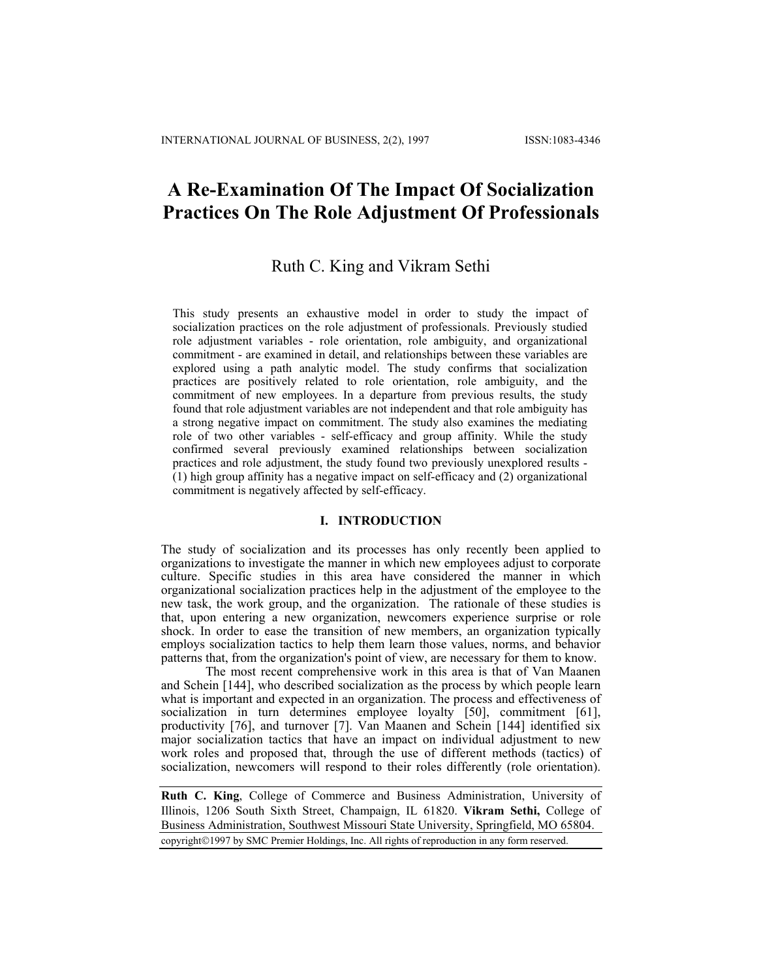# **A Re-Examination Of The Impact Of Socialization Practices On The Role Adjustment Of Professionals**

# Ruth C. King and Vikram Sethi

This study presents an exhaustive model in order to study the impact of socialization practices on the role adjustment of professionals. Previously studied role adjustment variables - role orientation, role ambiguity, and organizational commitment - are examined in detail, and relationships between these variables are explored using a path analytic model. The study confirms that socialization practices are positively related to role orientation, role ambiguity, and the commitment of new employees. In a departure from previous results, the study found that role adjustment variables are not independent and that role ambiguity has a strong negative impact on commitment. The study also examines the mediating role of two other variables - self-efficacy and group affinity. While the study confirmed several previously examined relationships between socialization practices and role adjustment, the study found two previously unexplored results - (1) high group affinity has a negative impact on self-efficacy and (2) organizational commitment is negatively affected by self-efficacy.

# **I. INTRODUCTION**

The study of socialization and its processes has only recently been applied to organizations to investigate the manner in which new employees adjust to corporate culture. Specific studies in this area have considered the manner in which organizational socialization practices help in the adjustment of the employee to the new task, the work group, and the organization. The rationale of these studies is that, upon entering a new organization, newcomers experience surprise or role shock. In order to ease the transition of new members, an organization typically employs socialization tactics to help them learn those values, norms, and behavior patterns that, from the organization's point of view, are necessary for them to know.

The most recent comprehensive work in this area is that of Van Maanen and Schein [144], who described socialization as the process by which people learn what is important and expected in an organization. The process and effectiveness of socialization in turn determines employee loyalty [50], commitment [61], productivity [76], and turnover [7]. Van Maanen and Schein [144] identified six major socialization tactics that have an impact on individual adjustment to new work roles and proposed that, through the use of different methods (tactics) of socialization, newcomers will respond to their roles differently (role orientation).

**Ruth C. King**, College of Commerce and Business Administration, University of Illinois, 1206 South Sixth Street, Champaign, IL 61820. **Vikram Sethi,** College of Business Administration, Southwest Missouri State University, Springfield, MO 65804.

copyright©1997 by SMC Premier Holdings, Inc. All rights of reproduction in any form reserved.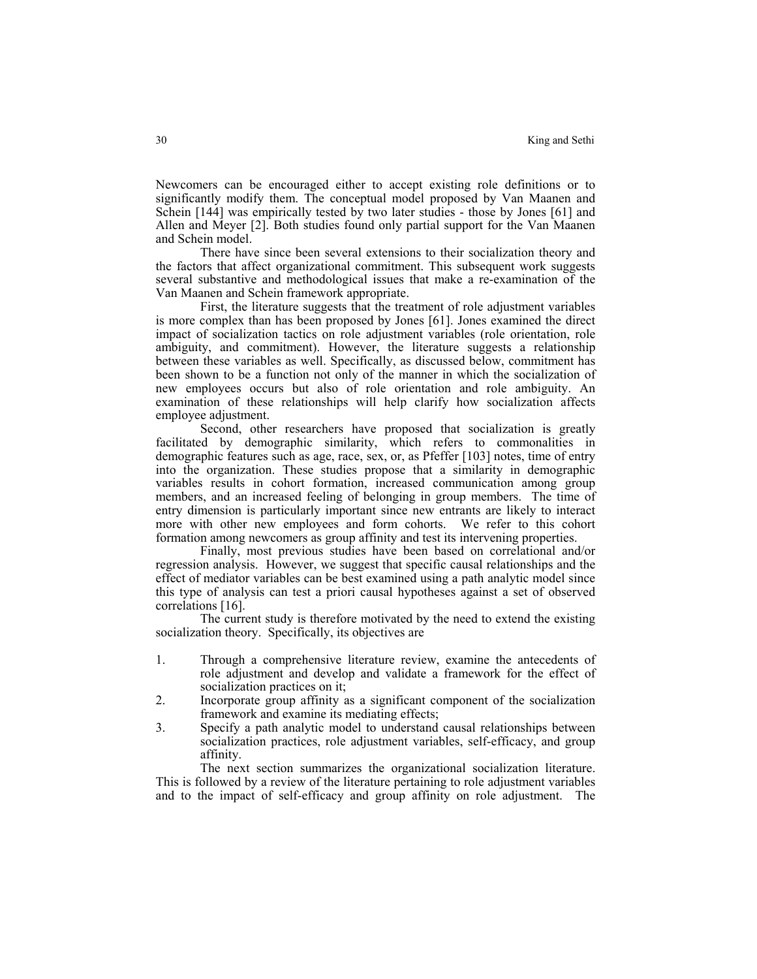Newcomers can be encouraged either to accept existing role definitions or to significantly modify them. The conceptual model proposed by Van Maanen and Schein [144] was empirically tested by two later studies - those by Jones [61] and Allen and Meyer [2]. Both studies found only partial support for the Van Maanen and Schein model.

There have since been several extensions to their socialization theory and the factors that affect organizational commitment. This subsequent work suggests several substantive and methodological issues that make a re-examination of the Van Maanen and Schein framework appropriate.

First, the literature suggests that the treatment of role adjustment variables is more complex than has been proposed by Jones [61]. Jones examined the direct impact of socialization tactics on role adjustment variables (role orientation, role ambiguity, and commitment). However, the literature suggests a relationship between these variables as well. Specifically, as discussed below, commitment has been shown to be a function not only of the manner in which the socialization of new employees occurs but also of role orientation and role ambiguity. An examination of these relationships will help clarify how socialization affects employee adjustment.

Second, other researchers have proposed that socialization is greatly facilitated by demographic similarity, which refers to commonalities in demographic features such as age, race, sex, or, as Pfeffer [103] notes, time of entry into the organization. These studies propose that a similarity in demographic variables results in cohort formation, increased communication among group members, and an increased feeling of belonging in group members. The time of entry dimension is particularly important since new entrants are likely to interact more with other new employees and form cohorts. We refer to this cohort formation among newcomers as group affinity and test its intervening properties.

Finally, most previous studies have been based on correlational and/or regression analysis. However, we suggest that specific causal relationships and the effect of mediator variables can be best examined using a path analytic model since this type of analysis can test a priori causal hypotheses against a set of observed correlations [16].

The current study is therefore motivated by the need to extend the existing socialization theory. Specifically, its objectives are

- 1. Through a comprehensive literature review, examine the antecedents of role adjustment and develop and validate a framework for the effect of socialization practices on it;
- 2. Incorporate group affinity as a significant component of the socialization framework and examine its mediating effects;
- 3. Specify a path analytic model to understand causal relationships between socialization practices, role adjustment variables, self-efficacy, and group affinity.

The next section summarizes the organizational socialization literature. This is followed by a review of the literature pertaining to role adjustment variables and to the impact of self-efficacy and group affinity on role adjustment. The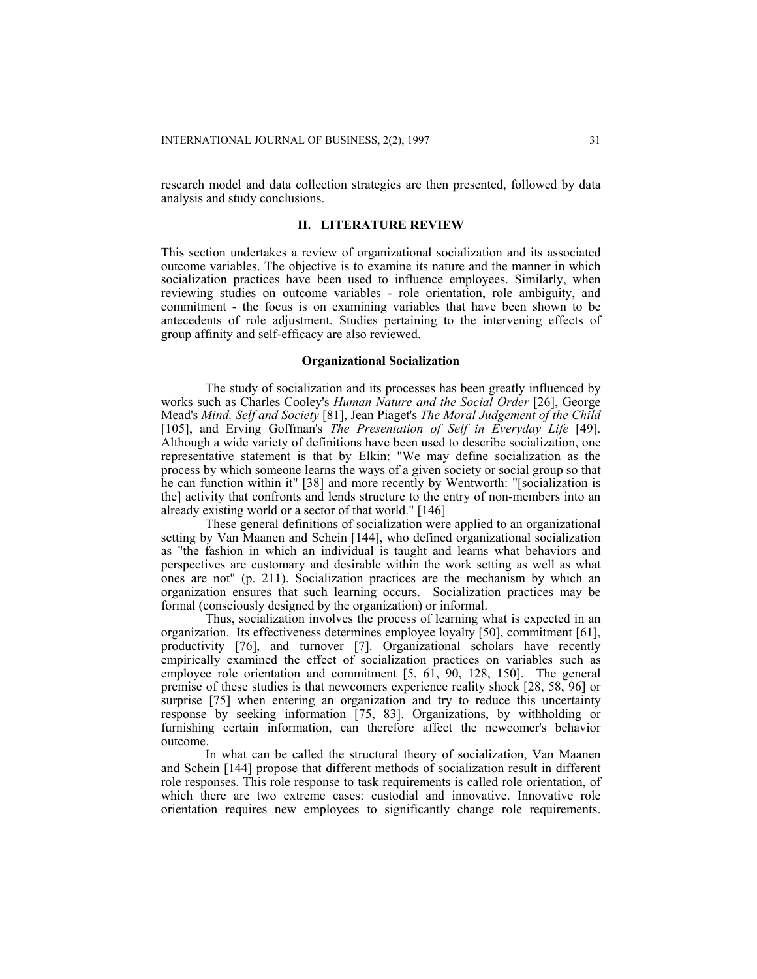research model and data collection strategies are then presented, followed by data analysis and study conclusions.

#### **II. LITERATURE REVIEW**

This section undertakes a review of organizational socialization and its associated outcome variables. The objective is to examine its nature and the manner in which socialization practices have been used to influence employees. Similarly, when reviewing studies on outcome variables - role orientation, role ambiguity, and commitment - the focus is on examining variables that have been shown to be antecedents of role adjustment. Studies pertaining to the intervening effects of group affinity and self-efficacy are also reviewed.

## **Organizational Socialization**

The study of socialization and its processes has been greatly influenced by works such as Charles Cooley's *Human Nature and the Social Order* [26], George Mead's *Mind, Self and Society* [81], Jean Piaget's *The Moral Judgement of the Child* [105], and Erving Goffman's *The Presentation of Self in Everyday Life* [49]. Although a wide variety of definitions have been used to describe socialization, one representative statement is that by Elkin: "We may define socialization as the process by which someone learns the ways of a given society or social group so that he can function within it" [38] and more recently by Wentworth: "[socialization is the] activity that confronts and lends structure to the entry of non-members into an already existing world or a sector of that world." [146]

These general definitions of socialization were applied to an organizational setting by Van Maanen and Schein [144], who defined organizational socialization as "the fashion in which an individual is taught and learns what behaviors and perspectives are customary and desirable within the work setting as well as what ones are not" (p. 211). Socialization practices are the mechanism by which an organization ensures that such learning occurs. Socialization practices may be formal (consciously designed by the organization) or informal.

Thus, socialization involves the process of learning what is expected in an organization. Its effectiveness determines employee loyalty [50], commitment [61], productivity [76], and turnover [7]. Organizational scholars have recently empirically examined the effect of socialization practices on variables such as employee role orientation and commitment [5, 61, 90, 128, 150]. The general premise of these studies is that newcomers experience reality shock [28, 58, 96] or surprise [75] when entering an organization and try to reduce this uncertainty response by seeking information [75, 83]. Organizations, by withholding or furnishing certain information, can therefore affect the newcomer's behavior outcome.

In what can be called the structural theory of socialization, Van Maanen and Schein [144] propose that different methods of socialization result in different role responses. This role response to task requirements is called role orientation, of which there are two extreme cases: custodial and innovative. Innovative role orientation requires new employees to significantly change role requirements.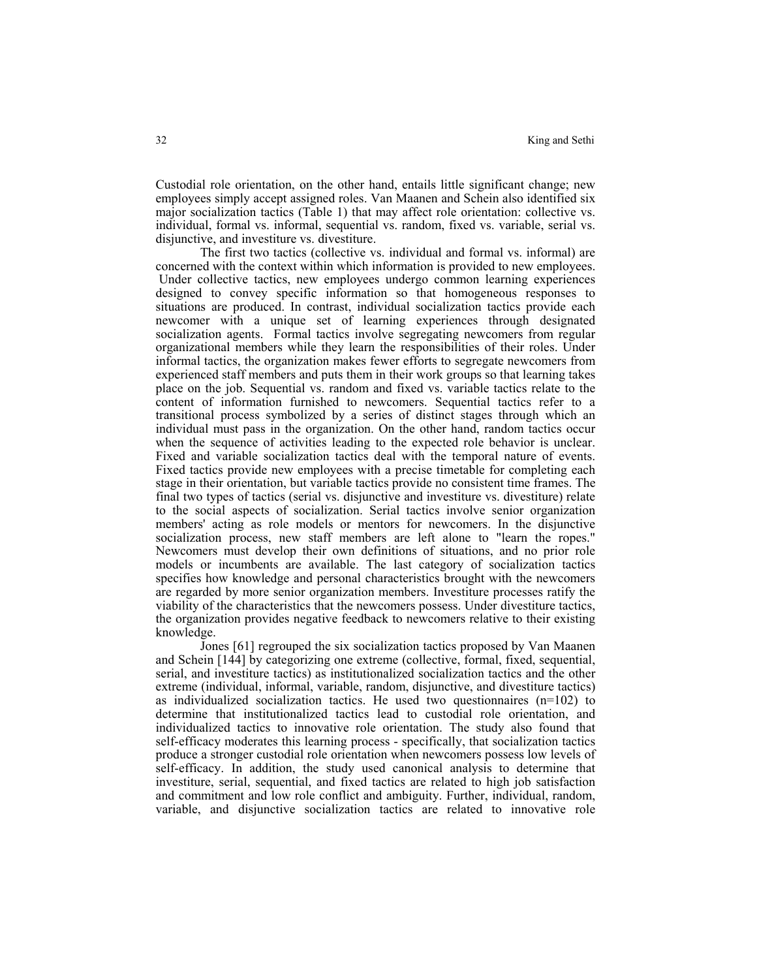Custodial role orientation, on the other hand, entails little significant change; new employees simply accept assigned roles. Van Maanen and Schein also identified six major socialization tactics (Table 1) that may affect role orientation: collective vs. individual, formal vs. informal, sequential vs. random, fixed vs. variable, serial vs. disjunctive, and investiture vs. divestiture.

The first two tactics (collective vs. individual and formal vs. informal) are concerned with the context within which information is provided to new employees. Under collective tactics, new employees undergo common learning experiences designed to convey specific information so that homogeneous responses to situations are produced. In contrast, individual socialization tactics provide each newcomer with a unique set of learning experiences through designated socialization agents. Formal tactics involve segregating newcomers from regular organizational members while they learn the responsibilities of their roles. Under informal tactics, the organization makes fewer efforts to segregate newcomers from experienced staff members and puts them in their work groups so that learning takes place on the job. Sequential vs. random and fixed vs. variable tactics relate to the content of information furnished to newcomers. Sequential tactics refer to a transitional process symbolized by a series of distinct stages through which an individual must pass in the organization. On the other hand, random tactics occur when the sequence of activities leading to the expected role behavior is unclear. Fixed and variable socialization tactics deal with the temporal nature of events. Fixed tactics provide new employees with a precise timetable for completing each stage in their orientation, but variable tactics provide no consistent time frames. The final two types of tactics (serial vs. disjunctive and investiture vs. divestiture) relate to the social aspects of socialization. Serial tactics involve senior organization members' acting as role models or mentors for newcomers. In the disjunctive socialization process, new staff members are left alone to "learn the ropes." Newcomers must develop their own definitions of situations, and no prior role models or incumbents are available. The last category of socialization tactics specifies how knowledge and personal characteristics brought with the newcomers are regarded by more senior organization members. Investiture processes ratify the viability of the characteristics that the newcomers possess. Under divestiture tactics, the organization provides negative feedback to newcomers relative to their existing knowledge.

Jones [61] regrouped the six socialization tactics proposed by Van Maanen and Schein [144] by categorizing one extreme (collective, formal, fixed, sequential, serial, and investiture tactics) as institutionalized socialization tactics and the other extreme (individual, informal, variable, random, disjunctive, and divestiture tactics) as individualized socialization tactics. He used two questionnaires (n=102) to determine that institutionalized tactics lead to custodial role orientation, and individualized tactics to innovative role orientation. The study also found that self-efficacy moderates this learning process - specifically, that socialization tactics produce a stronger custodial role orientation when newcomers possess low levels of self-efficacy. In addition, the study used canonical analysis to determine that investiture, serial, sequential, and fixed tactics are related to high job satisfaction and commitment and low role conflict and ambiguity. Further, individual, random, variable, and disjunctive socialization tactics are related to innovative role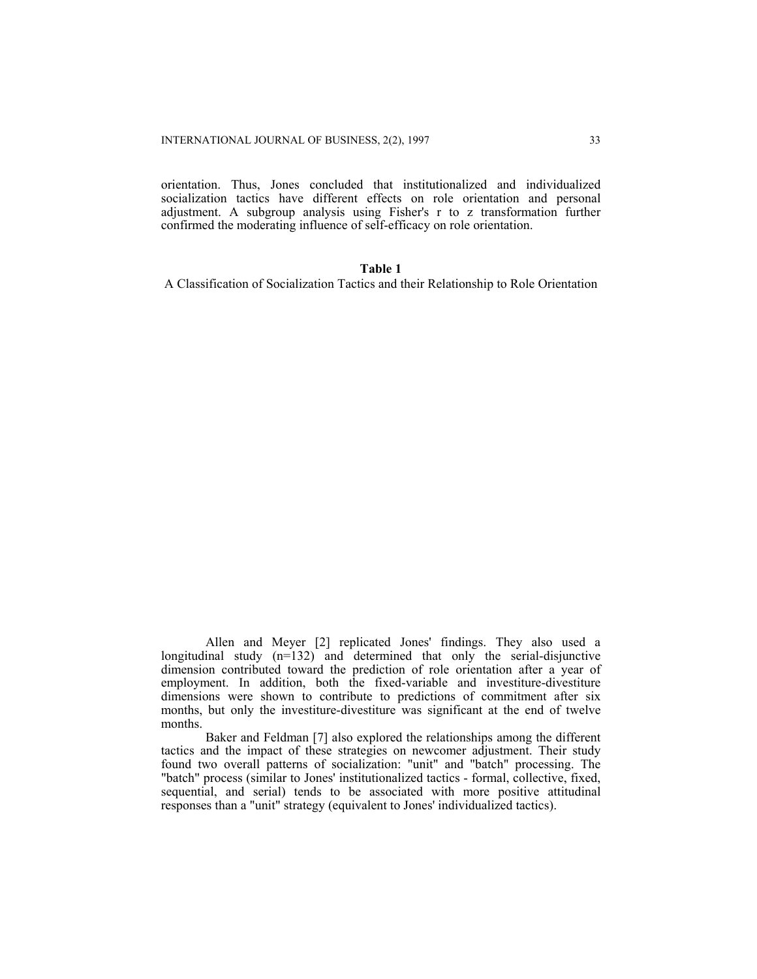orientation. Thus, Jones concluded that institutionalized and individualized socialization tactics have different effects on role orientation and personal adjustment. A subgroup analysis using Fisher's r to z transformation further confirmed the moderating influence of self-efficacy on role orientation.

# **Table 1**

A Classification of Socialization Tactics and their Relationship to Role Orientation

Allen and Meyer [2] replicated Jones' findings. They also used a longitudinal study  $(n=132)$  and determined that only the serial-disjunctive dimension contributed toward the prediction of role orientation after a year of employment. In addition, both the fixed-variable and investiture-divestiture dimensions were shown to contribute to predictions of commitment after six months, but only the investiture-divestiture was significant at the end of twelve months.

Baker and Feldman [7] also explored the relationships among the different tactics and the impact of these strategies on newcomer adjustment. Their study found two overall patterns of socialization: "unit" and "batch" processing. The "batch" process (similar to Jones' institutionalized tactics - formal, collective, fixed, sequential, and serial) tends to be associated with more positive attitudinal responses than a "unit" strategy (equivalent to Jones' individualized tactics).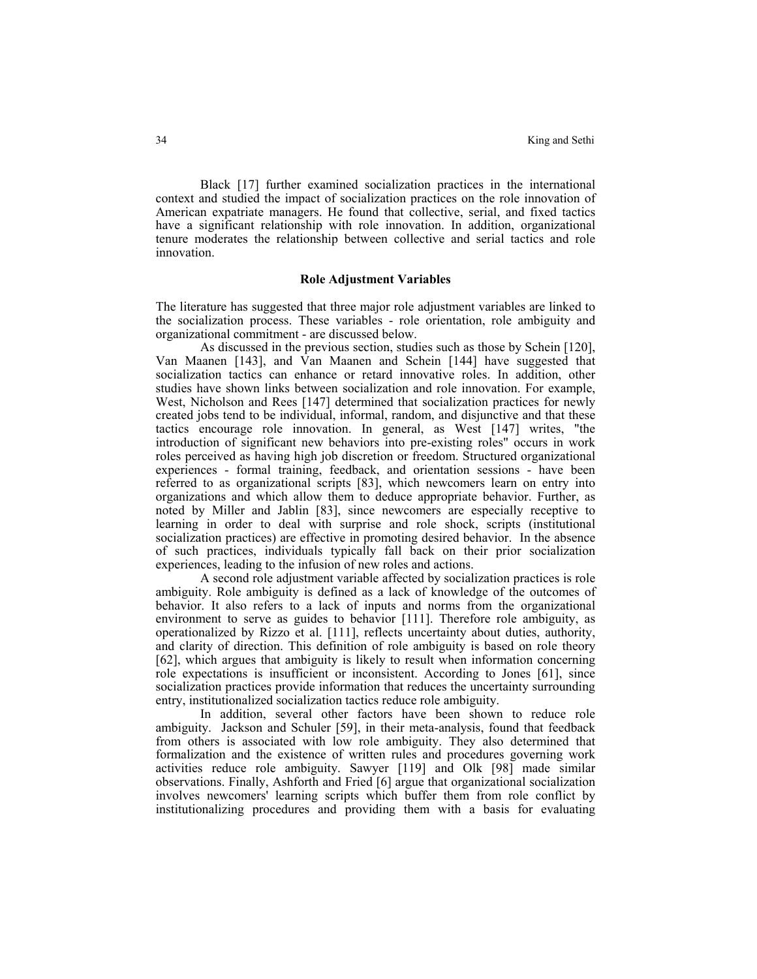Black [17] further examined socialization practices in the international context and studied the impact of socialization practices on the role innovation of American expatriate managers. He found that collective, serial, and fixed tactics have a significant relationship with role innovation. In addition, organizational tenure moderates the relationship between collective and serial tactics and role innovation.

# **Role Adjustment Variables**

The literature has suggested that three major role adjustment variables are linked to the socialization process. These variables - role orientation, role ambiguity and organizational commitment - are discussed below.

As discussed in the previous section, studies such as those by Schein [120], Van Maanen [143], and Van Maanen and Schein [144] have suggested that socialization tactics can enhance or retard innovative roles. In addition, other studies have shown links between socialization and role innovation. For example, West, Nicholson and Rees [147] determined that socialization practices for newly created jobs tend to be individual, informal, random, and disjunctive and that these tactics encourage role innovation. In general, as West [147] writes, "the introduction of significant new behaviors into pre-existing roles" occurs in work roles perceived as having high job discretion or freedom. Structured organizational experiences - formal training, feedback, and orientation sessions - have been referred to as organizational scripts [83], which newcomers learn on entry into organizations and which allow them to deduce appropriate behavior. Further, as noted by Miller and Jablin [83], since newcomers are especially receptive to learning in order to deal with surprise and role shock, scripts (institutional socialization practices) are effective in promoting desired behavior. In the absence of such practices, individuals typically fall back on their prior socialization experiences, leading to the infusion of new roles and actions.

A second role adjustment variable affected by socialization practices is role ambiguity. Role ambiguity is defined as a lack of knowledge of the outcomes of behavior. It also refers to a lack of inputs and norms from the organizational environment to serve as guides to behavior [111]. Therefore role ambiguity, as operationalized by Rizzo et al. [111], reflects uncertainty about duties, authority, and clarity of direction. This definition of role ambiguity is based on role theory [62], which argues that ambiguity is likely to result when information concerning role expectations is insufficient or inconsistent. According to Jones [61], since socialization practices provide information that reduces the uncertainty surrounding entry, institutionalized socialization tactics reduce role ambiguity.

In addition, several other factors have been shown to reduce role ambiguity. Jackson and Schuler [59], in their meta-analysis, found that feedback from others is associated with low role ambiguity. They also determined that formalization and the existence of written rules and procedures governing work activities reduce role ambiguity. Sawyer [119] and Olk [98] made similar observations. Finally, Ashforth and Fried [6] argue that organizational socialization involves newcomers' learning scripts which buffer them from role conflict by institutionalizing procedures and providing them with a basis for evaluating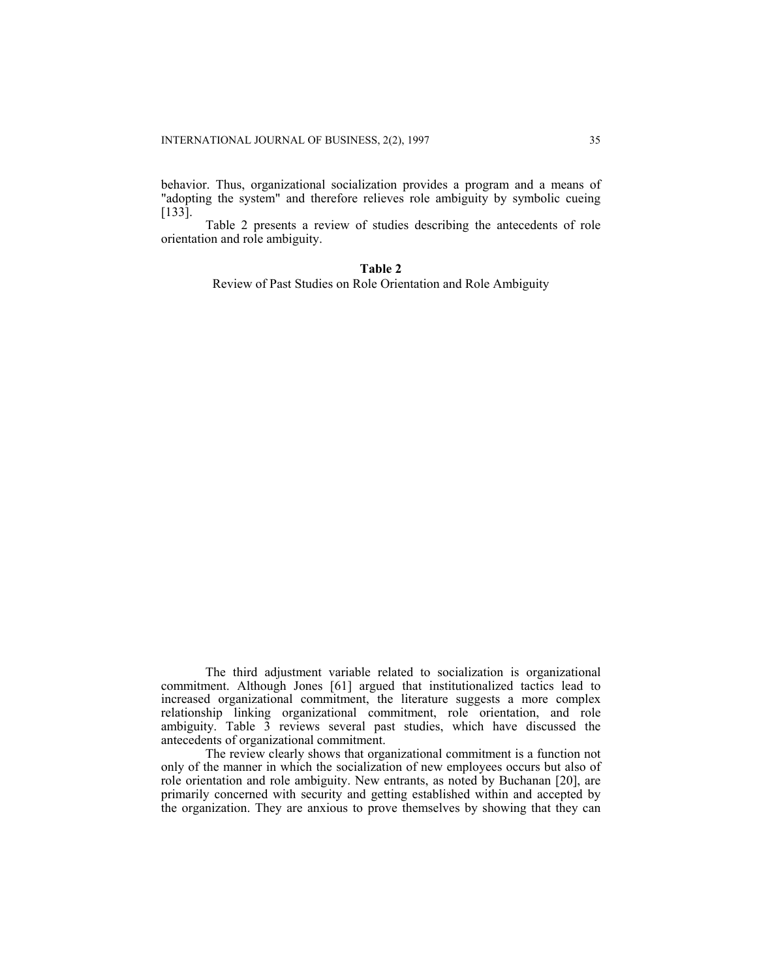behavior. Thus, organizational socialization provides a program and a means of "adopting the system" and therefore relieves role ambiguity by symbolic cueing [133].

Table 2 presents a review of studies describing the antecedents of role orientation and role ambiguity.

# **Table 2**

Review of Past Studies on Role Orientation and Role Ambiguity

The third adjustment variable related to socialization is organizational commitment. Although Jones [61] argued that institutionalized tactics lead to increased organizational commitment, the literature suggests a more complex relationship linking organizational commitment, role orientation, and role ambiguity. Table 3 reviews several past studies, which have discussed the antecedents of organizational commitment.

The review clearly shows that organizational commitment is a function not only of the manner in which the socialization of new employees occurs but also of role orientation and role ambiguity. New entrants, as noted by Buchanan [20], are primarily concerned with security and getting established within and accepted by the organization. They are anxious to prove themselves by showing that they can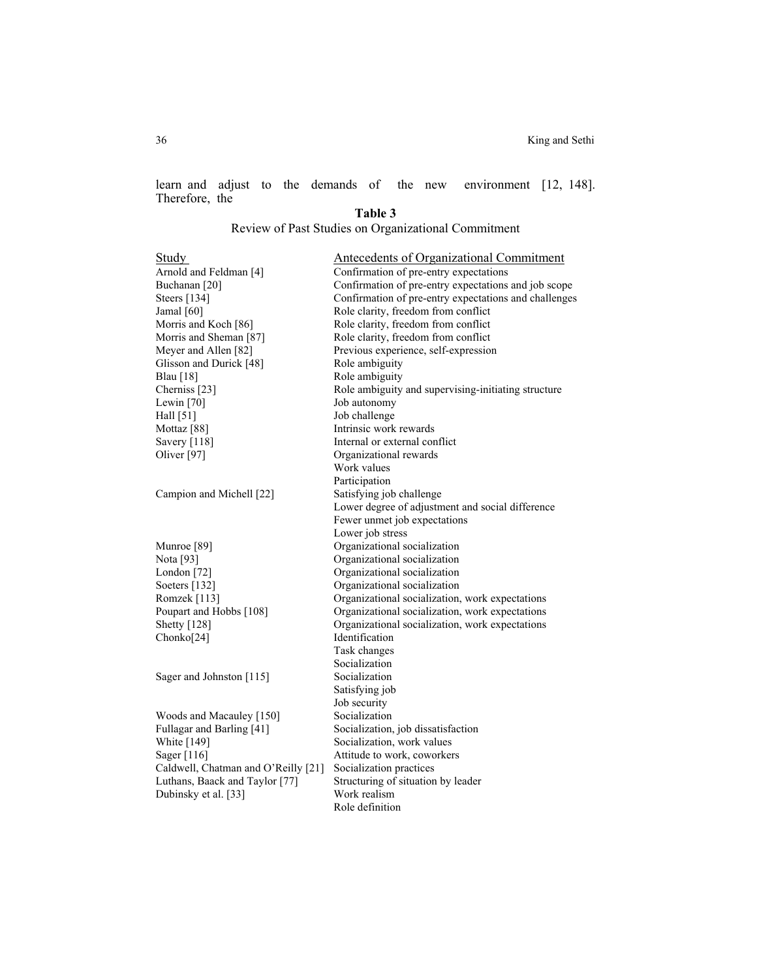learn and adjust to the demands of the new environment [12, 148]. Therefore, the **Table 3** 

Review of Past Studies on Organizational Commitment

| <b>Study</b><br>Arnold and Feldman <sup>[4]</sup><br>Buchanan <sup>[20]</sup><br>Steers [134]<br>Jamal $[60]$<br>Morris and Koch [86]<br>Morris and Sheman [87]<br>Meyer and Allen [82]<br>Glisson and Durick [48]<br><b>Blau</b> [18]<br>Cherniss <sup>[23]</sup><br>Lewin [70]<br>Hall [51] | <b>Antecedents of Organizational Commitment</b><br>Confirmation of pre-entry expectations<br>Confirmation of pre-entry expectations and job scope<br>Confirmation of pre-entry expectations and challenges<br>Role clarity, freedom from conflict<br>Role clarity, freedom from conflict<br>Role clarity, freedom from conflict<br>Previous experience, self-expression<br>Role ambiguity<br>Role ambiguity<br>Role ambiguity and supervising-initiating structure<br>Job autonomy<br>Job challenge |
|-----------------------------------------------------------------------------------------------------------------------------------------------------------------------------------------------------------------------------------------------------------------------------------------------|-----------------------------------------------------------------------------------------------------------------------------------------------------------------------------------------------------------------------------------------------------------------------------------------------------------------------------------------------------------------------------------------------------------------------------------------------------------------------------------------------------|
| Mottaz <sup>[88]</sup>                                                                                                                                                                                                                                                                        | Intrinsic work rewards                                                                                                                                                                                                                                                                                                                                                                                                                                                                              |
| Savery [118]                                                                                                                                                                                                                                                                                  | Internal or external conflict                                                                                                                                                                                                                                                                                                                                                                                                                                                                       |
| Oliver [97]                                                                                                                                                                                                                                                                                   | Organizational rewards                                                                                                                                                                                                                                                                                                                                                                                                                                                                              |
|                                                                                                                                                                                                                                                                                               | Work values                                                                                                                                                                                                                                                                                                                                                                                                                                                                                         |
|                                                                                                                                                                                                                                                                                               | Participation                                                                                                                                                                                                                                                                                                                                                                                                                                                                                       |
| Campion and Michell [22]                                                                                                                                                                                                                                                                      | Satisfying job challenge                                                                                                                                                                                                                                                                                                                                                                                                                                                                            |
|                                                                                                                                                                                                                                                                                               | Lower degree of adjustment and social difference                                                                                                                                                                                                                                                                                                                                                                                                                                                    |
|                                                                                                                                                                                                                                                                                               | Fewer unmet job expectations                                                                                                                                                                                                                                                                                                                                                                                                                                                                        |
|                                                                                                                                                                                                                                                                                               | Lower job stress                                                                                                                                                                                                                                                                                                                                                                                                                                                                                    |
| Munroe [89]                                                                                                                                                                                                                                                                                   | Organizational socialization                                                                                                                                                                                                                                                                                                                                                                                                                                                                        |
| Nota [93]                                                                                                                                                                                                                                                                                     | Organizational socialization                                                                                                                                                                                                                                                                                                                                                                                                                                                                        |
| London [72]                                                                                                                                                                                                                                                                                   | Organizational socialization                                                                                                                                                                                                                                                                                                                                                                                                                                                                        |
| Soeters [132]                                                                                                                                                                                                                                                                                 | Organizational socialization                                                                                                                                                                                                                                                                                                                                                                                                                                                                        |
| Romzek [113]                                                                                                                                                                                                                                                                                  | Organizational socialization, work expectations                                                                                                                                                                                                                                                                                                                                                                                                                                                     |
| Poupart and Hobbs [108]                                                                                                                                                                                                                                                                       | Organizational socialization, work expectations                                                                                                                                                                                                                                                                                                                                                                                                                                                     |
| Shetty [128]                                                                                                                                                                                                                                                                                  | Organizational socialization, work expectations                                                                                                                                                                                                                                                                                                                                                                                                                                                     |
| Chonko[24]                                                                                                                                                                                                                                                                                    | Identification                                                                                                                                                                                                                                                                                                                                                                                                                                                                                      |
|                                                                                                                                                                                                                                                                                               | Task changes                                                                                                                                                                                                                                                                                                                                                                                                                                                                                        |
|                                                                                                                                                                                                                                                                                               | Socialization                                                                                                                                                                                                                                                                                                                                                                                                                                                                                       |
| Sager and Johnston [115]                                                                                                                                                                                                                                                                      | Socialization                                                                                                                                                                                                                                                                                                                                                                                                                                                                                       |
|                                                                                                                                                                                                                                                                                               | Satisfying job                                                                                                                                                                                                                                                                                                                                                                                                                                                                                      |
|                                                                                                                                                                                                                                                                                               | Job security                                                                                                                                                                                                                                                                                                                                                                                                                                                                                        |
| Woods and Macauley [150]                                                                                                                                                                                                                                                                      | Socialization                                                                                                                                                                                                                                                                                                                                                                                                                                                                                       |
| Fullagar and Barling [41]                                                                                                                                                                                                                                                                     | Socialization, job dissatisfaction                                                                                                                                                                                                                                                                                                                                                                                                                                                                  |
| White [149]                                                                                                                                                                                                                                                                                   | Socialization, work values                                                                                                                                                                                                                                                                                                                                                                                                                                                                          |
| Sager [116]                                                                                                                                                                                                                                                                                   | Attitude to work, coworkers                                                                                                                                                                                                                                                                                                                                                                                                                                                                         |
| Caldwell, Chatman and O'Reilly [21]                                                                                                                                                                                                                                                           | Socialization practices                                                                                                                                                                                                                                                                                                                                                                                                                                                                             |
| Luthans, Baack and Taylor [77]                                                                                                                                                                                                                                                                | Structuring of situation by leader                                                                                                                                                                                                                                                                                                                                                                                                                                                                  |
| Dubinsky et al. [33]                                                                                                                                                                                                                                                                          | Work realism                                                                                                                                                                                                                                                                                                                                                                                                                                                                                        |
|                                                                                                                                                                                                                                                                                               | Role definition                                                                                                                                                                                                                                                                                                                                                                                                                                                                                     |
|                                                                                                                                                                                                                                                                                               |                                                                                                                                                                                                                                                                                                                                                                                                                                                                                                     |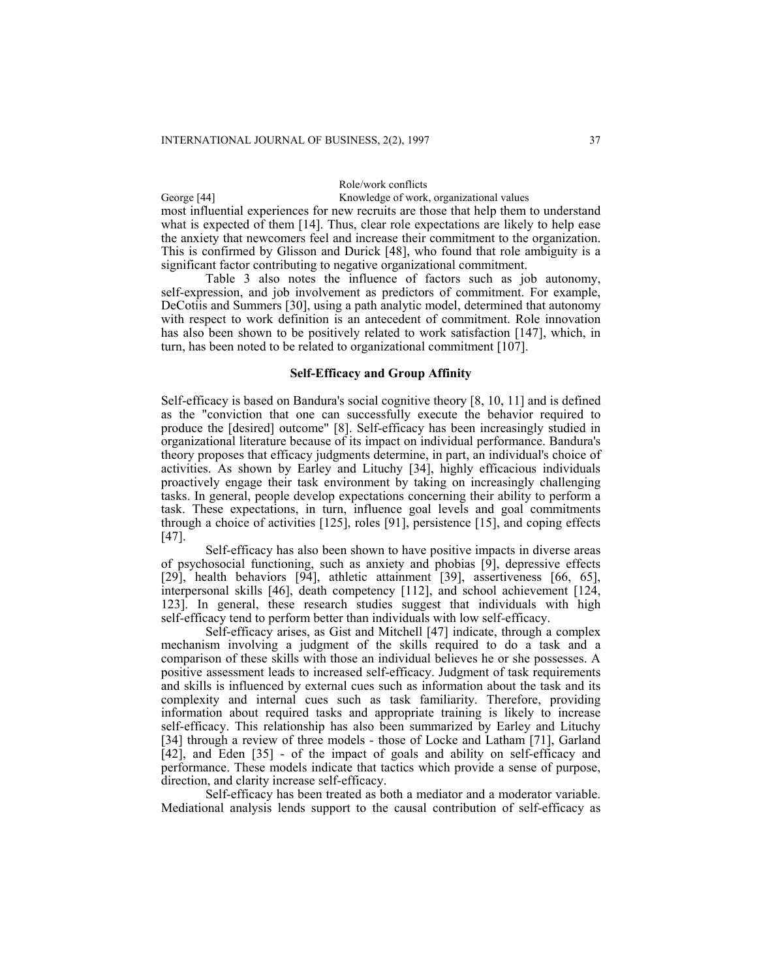# Role/work conflicts

George [44] Knowledge of work, organizational values most influential experiences for new recruits are those that help them to understand what is expected of them [14]. Thus, clear role expectations are likely to help ease

the anxiety that newcomers feel and increase their commitment to the organization. This is confirmed by Glisson and Durick [48], who found that role ambiguity is a significant factor contributing to negative organizational commitment.

Table 3 also notes the influence of factors such as job autonomy, self-expression, and job involvement as predictors of commitment. For example, DeCotiis and Summers [30], using a path analytic model, determined that autonomy with respect to work definition is an antecedent of commitment. Role innovation has also been shown to be positively related to work satisfaction [147], which, in turn, has been noted to be related to organizational commitment [107].

# **Self-Efficacy and Group Affinity**

Self-efficacy is based on Bandura's social cognitive theory [8, 10, 11] and is defined as the "conviction that one can successfully execute the behavior required to produce the [desired] outcome" [8]. Self-efficacy has been increasingly studied in organizational literature because of its impact on individual performance. Bandura's theory proposes that efficacy judgments determine, in part, an individual's choice of activities. As shown by Earley and Lituchy [34], highly efficacious individuals proactively engage their task environment by taking on increasingly challenging tasks. In general, people develop expectations concerning their ability to perform a task. These expectations, in turn, influence goal levels and goal commitments through a choice of activities [125], roles [91], persistence [15], and coping effects [47].

Self-efficacy has also been shown to have positive impacts in diverse areas of psychosocial functioning, such as anxiety and phobias [9], depressive effects [29], health behaviors [94], athletic attainment [39], assertiveness [66, 65], interpersonal skills [46], death competency [112], and school achievement [124, 123]. In general, these research studies suggest that individuals with high self-efficacy tend to perform better than individuals with low self-efficacy.

Self-efficacy arises, as Gist and Mitchell [47] indicate, through a complex mechanism involving a judgment of the skills required to do a task and a comparison of these skills with those an individual believes he or she possesses. A positive assessment leads to increased self-efficacy. Judgment of task requirements and skills is influenced by external cues such as information about the task and its complexity and internal cues such as task familiarity. Therefore, providing information about required tasks and appropriate training is likely to increase self-efficacy. This relationship has also been summarized by Earley and Lituchy [34] through a review of three models - those of Locke and Latham [71], Garland [42], and Eden [35] - of the impact of goals and ability on self-efficacy and performance. These models indicate that tactics which provide a sense of purpose, direction, and clarity increase self-efficacy.

Self-efficacy has been treated as both a mediator and a moderator variable. Mediational analysis lends support to the causal contribution of self-efficacy as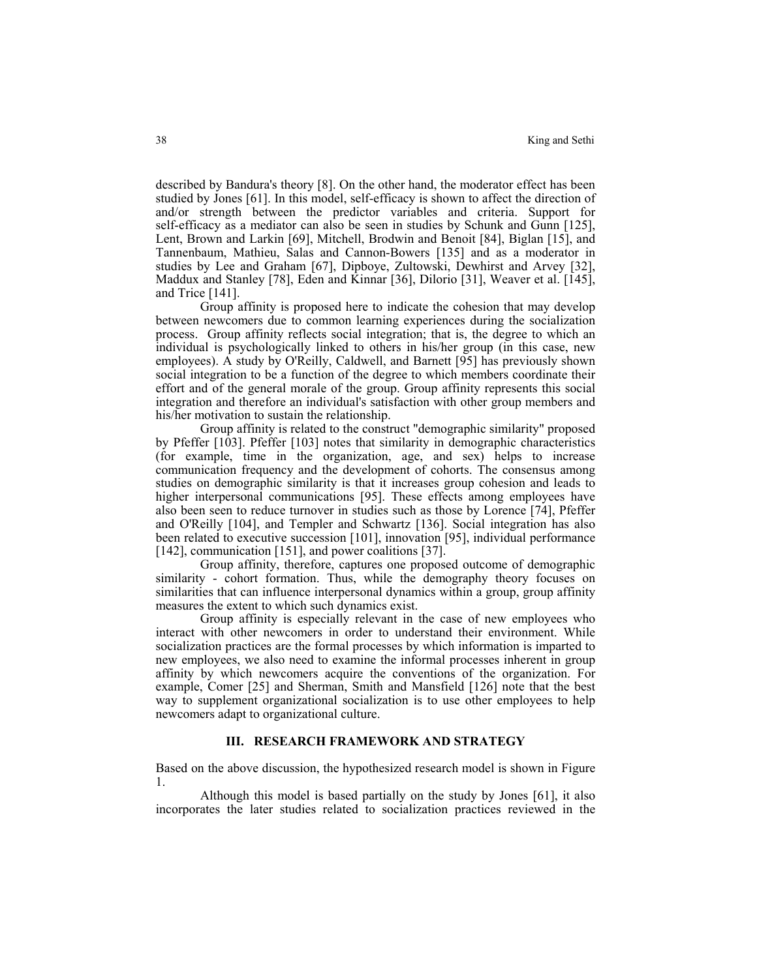described by Bandura's theory [8]. On the other hand, the moderator effect has been studied by Jones [61]. In this model, self-efficacy is shown to affect the direction of and/or strength between the predictor variables and criteria. Support for self-efficacy as a mediator can also be seen in studies by Schunk and Gunn [125], Lent, Brown and Larkin [69], Mitchell, Brodwin and Benoit [84], Biglan [15], and Tannenbaum, Mathieu, Salas and Cannon-Bowers [135] and as a moderator in studies by Lee and Graham [67], Dipboye, Zultowski, Dewhirst and Arvey [32], Maddux and Stanley [78], Eden and Kinnar [36], Dilorio [31], Weaver et al. [145], and Trice [141].

Group affinity is proposed here to indicate the cohesion that may develop between newcomers due to common learning experiences during the socialization process. Group affinity reflects social integration; that is, the degree to which an individual is psychologically linked to others in his/her group (in this case, new employees). A study by O'Reilly, Caldwell, and Barnett [95] has previously shown social integration to be a function of the degree to which members coordinate their effort and of the general morale of the group. Group affinity represents this social integration and therefore an individual's satisfaction with other group members and his/her motivation to sustain the relationship.

Group affinity is related to the construct "demographic similarity" proposed by Pfeffer [103]. Pfeffer [103] notes that similarity in demographic characteristics (for example, time in the organization, age, and sex) helps to increase communication frequency and the development of cohorts. The consensus among studies on demographic similarity is that it increases group cohesion and leads to higher interpersonal communications [95]. These effects among employees have also been seen to reduce turnover in studies such as those by Lorence [74], Pfeffer and O'Reilly [104], and Templer and Schwartz [136]. Social integration has also been related to executive succession [101], innovation [95], individual performance [142], communication [151], and power coalitions [37].

Group affinity, therefore, captures one proposed outcome of demographic similarity - cohort formation. Thus, while the demography theory focuses on similarities that can influence interpersonal dynamics within a group, group affinity measures the extent to which such dynamics exist.

Group affinity is especially relevant in the case of new employees who interact with other newcomers in order to understand their environment. While socialization practices are the formal processes by which information is imparted to new employees, we also need to examine the informal processes inherent in group affinity by which newcomers acquire the conventions of the organization. For example, Comer [25] and Sherman, Smith and Mansfield [126] note that the best way to supplement organizational socialization is to use other employees to help newcomers adapt to organizational culture.

#### **III. RESEARCH FRAMEWORK AND STRATEGY**

Based on the above discussion, the hypothesized research model is shown in Figure 1.

Although this model is based partially on the study by Jones [61], it also incorporates the later studies related to socialization practices reviewed in the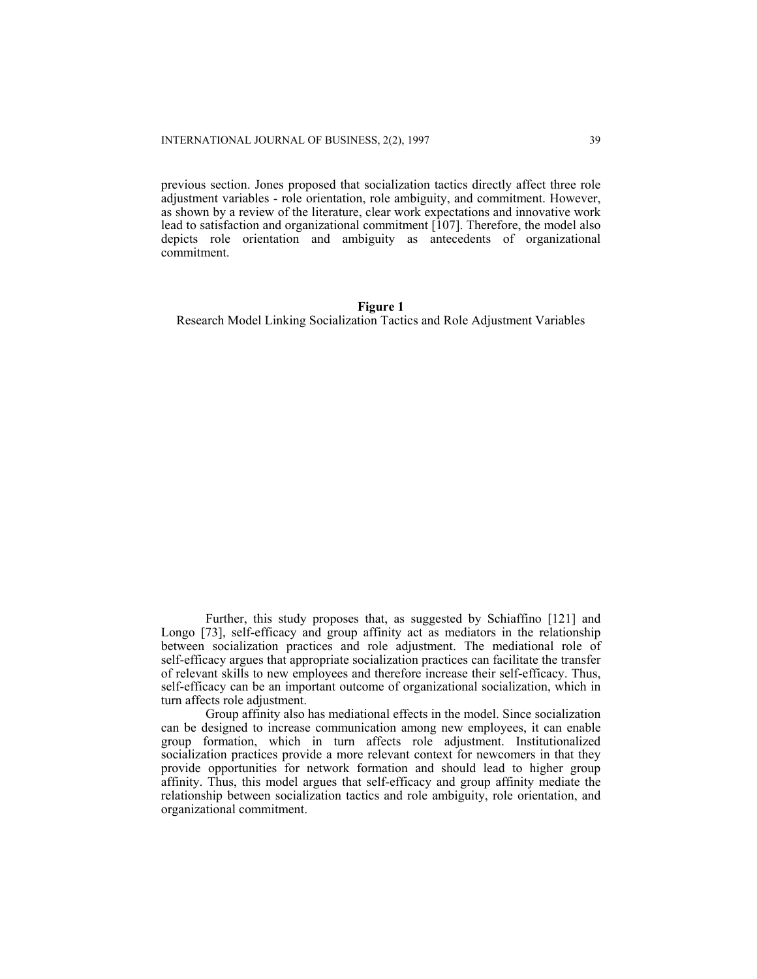previous section. Jones proposed that socialization tactics directly affect three role adjustment variables - role orientation, role ambiguity, and commitment. However, as shown by a review of the literature, clear work expectations and innovative work lead to satisfaction and organizational commitment [107]. Therefore, the model also depicts role orientation and ambiguity as antecedents of organizational commitment.

#### **Figure 1**

Research Model Linking Socialization Tactics and Role Adjustment Variables

Further, this study proposes that, as suggested by Schiaffino [121] and Longo [73], self-efficacy and group affinity act as mediators in the relationship between socialization practices and role adjustment. The mediational role of self-efficacy argues that appropriate socialization practices can facilitate the transfer of relevant skills to new employees and therefore increase their self-efficacy. Thus, self-efficacy can be an important outcome of organizational socialization, which in turn affects role adjustment.

Group affinity also has mediational effects in the model. Since socialization can be designed to increase communication among new employees, it can enable group formation, which in turn affects role adjustment. Institutionalized socialization practices provide a more relevant context for newcomers in that they provide opportunities for network formation and should lead to higher group affinity. Thus, this model argues that self-efficacy and group affinity mediate the relationship between socialization tactics and role ambiguity, role orientation, and organizational commitment.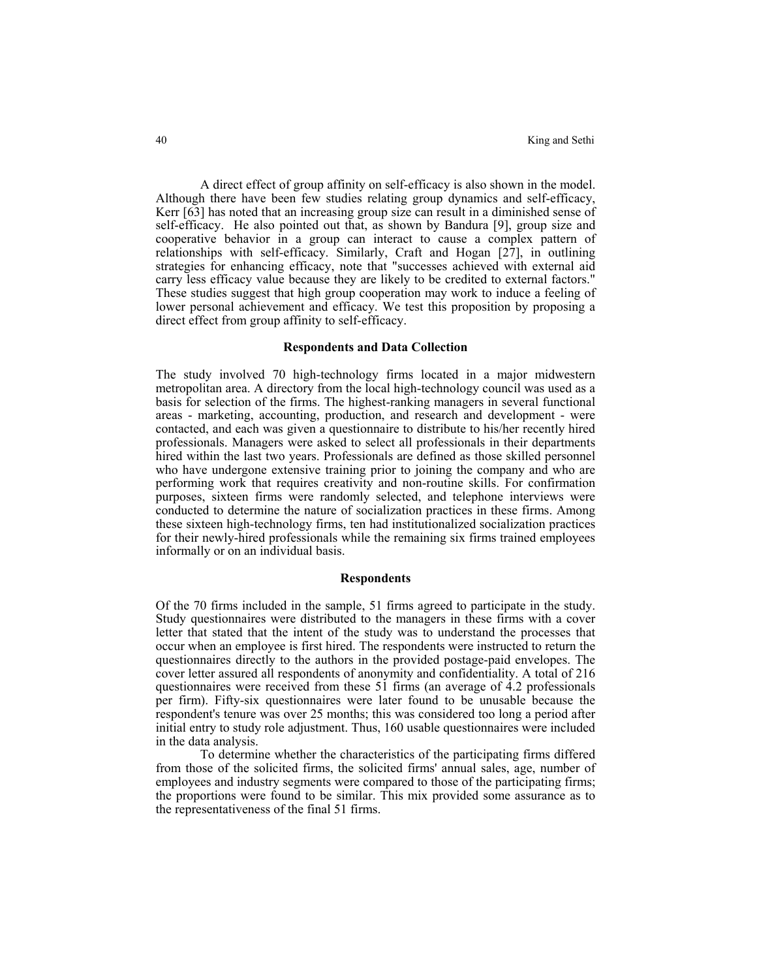A direct effect of group affinity on self-efficacy is also shown in the model. Although there have been few studies relating group dynamics and self-efficacy, Kerr [63] has noted that an increasing group size can result in a diminished sense of self-efficacy. He also pointed out that, as shown by Bandura [9], group size and cooperative behavior in a group can interact to cause a complex pattern of relationships with self-efficacy. Similarly, Craft and Hogan [27], in outlining strategies for enhancing efficacy, note that "successes achieved with external aid carry less efficacy value because they are likely to be credited to external factors." These studies suggest that high group cooperation may work to induce a feeling of lower personal achievement and efficacy. We test this proposition by proposing a direct effect from group affinity to self-efficacy.

# **Respondents and Data Collection**

The study involved 70 high-technology firms located in a major midwestern metropolitan area. A directory from the local high-technology council was used as a basis for selection of the firms. The highest-ranking managers in several functional areas - marketing, accounting, production, and research and development - were contacted, and each was given a questionnaire to distribute to his/her recently hired professionals. Managers were asked to select all professionals in their departments hired within the last two years. Professionals are defined as those skilled personnel who have undergone extensive training prior to joining the company and who are performing work that requires creativity and non-routine skills. For confirmation purposes, sixteen firms were randomly selected, and telephone interviews were conducted to determine the nature of socialization practices in these firms. Among these sixteen high-technology firms, ten had institutionalized socialization practices for their newly-hired professionals while the remaining six firms trained employees informally or on an individual basis.

# **Respondents**

Of the 70 firms included in the sample, 51 firms agreed to participate in the study. Study questionnaires were distributed to the managers in these firms with a cover letter that stated that the intent of the study was to understand the processes that occur when an employee is first hired. The respondents were instructed to return the questionnaires directly to the authors in the provided postage-paid envelopes. The cover letter assured all respondents of anonymity and confidentiality. A total of 216 questionnaires were received from these 51 firms (an average of 4.2 professionals per firm). Fifty-six questionnaires were later found to be unusable because the respondent's tenure was over 25 months; this was considered too long a period after initial entry to study role adjustment. Thus, 160 usable questionnaires were included in the data analysis.

To determine whether the characteristics of the participating firms differed from those of the solicited firms, the solicited firms' annual sales, age, number of employees and industry segments were compared to those of the participating firms; the proportions were found to be similar. This mix provided some assurance as to the representativeness of the final 51 firms.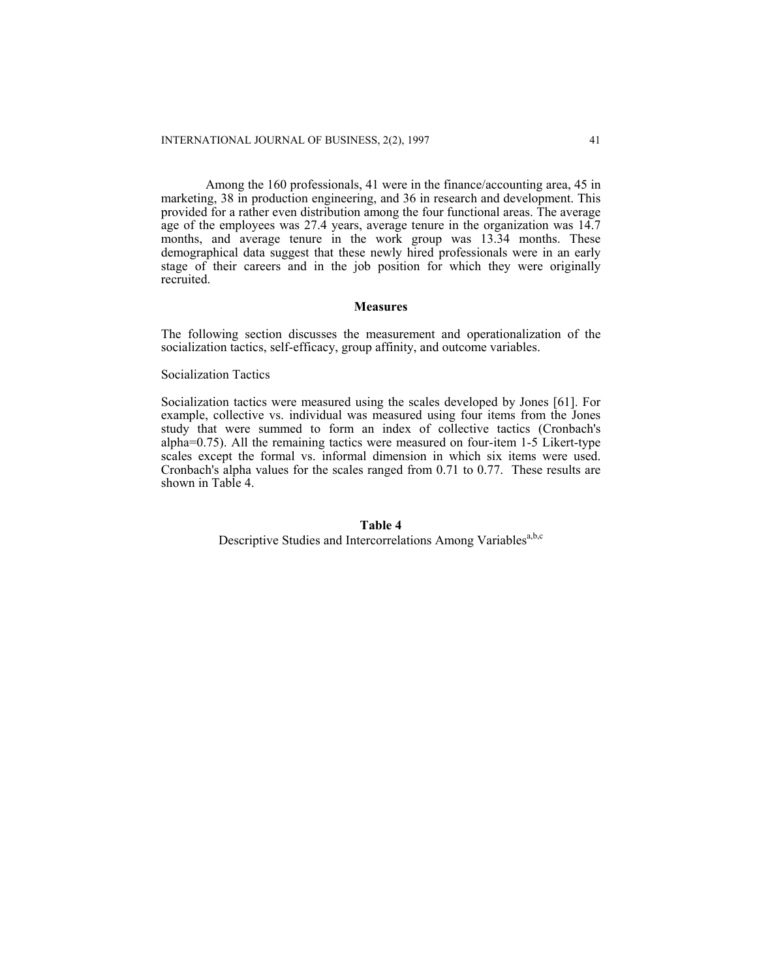Among the 160 professionals, 41 were in the finance/accounting area, 45 in marketing, 38 in production engineering, and 36 in research and development. This provided for a rather even distribution among the four functional areas. The average age of the employees was 27.4 years, average tenure in the organization was 14.7 months, and average tenure in the work group was 13.34 months. These demographical data suggest that these newly hired professionals were in an early stage of their careers and in the job position for which they were originally recruited.

#### **Measures**

The following section discusses the measurement and operationalization of the socialization tactics, self-efficacy, group affinity, and outcome variables.

Socialization Tactics

Socialization tactics were measured using the scales developed by Jones [61]. For example, collective vs. individual was measured using four items from the Jones study that were summed to form an index of collective tactics (Cronbach's alpha=0.75). All the remaining tactics were measured on four-item 1-5 Likert-type scales except the formal vs. informal dimension in which six items were used. Cronbach's alpha values for the scales ranged from 0.71 to 0.77. These results are shown in Table 4.

# **Table 4**  Descriptive Studies and Intercorrelations Among Variables<sup>a,b,c</sup>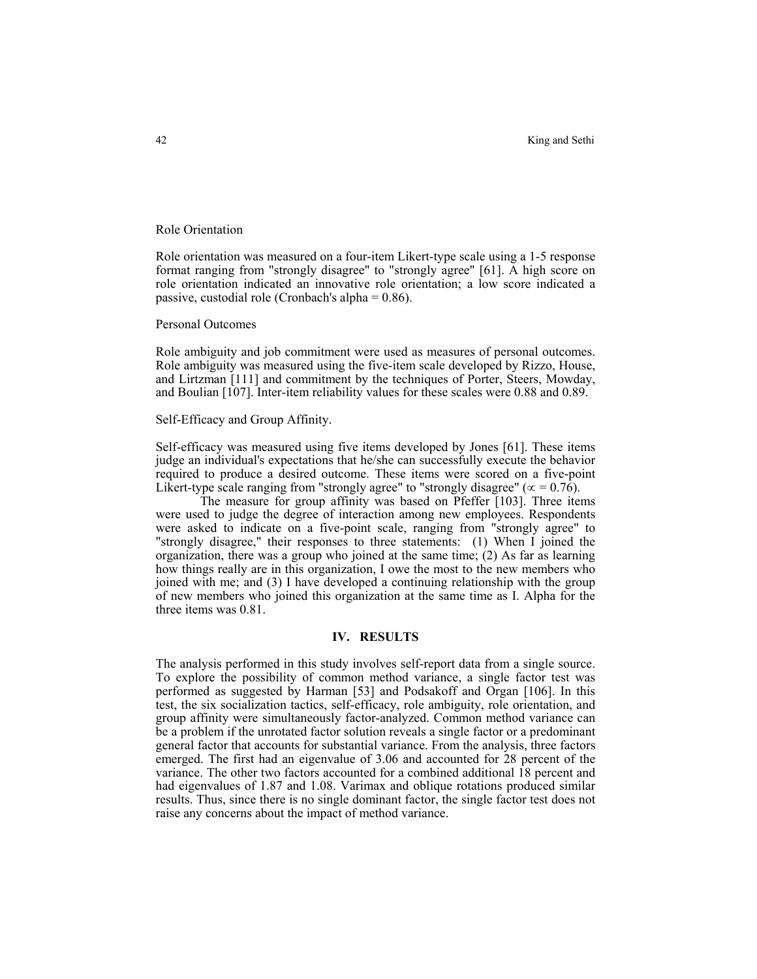Role Orientation

Role orientation was measured on a four-item Likert-type scale using a 1-5 response format ranging from "strongly disagree" to "strongly agree" [61]. A high score on role orientation indicated an innovative role orientation; a low score indicated a passive, custodial role (Cronbach's alpha = 0.86).

Personal Outcomes

Role ambiguity and job commitment were used as measures of personal outcomes. Role ambiguity was measured using the five-item scale developed by Rizzo, House, and Lirtzman [111] and commitment by the techniques of Porter, Steers, Mowday, and Boulian [107]. Inter-item reliability values for these scales were 0.88 and 0.89.

#### Self-Efficacy and Group Affinity.

Self-efficacy was measured using five items developed by Jones [61]. These items judge an individual's expectations that he/she can successfully execute the behavior required to produce a desired outcome. These items were scored on a five-point Likert-type scale ranging from "strongly agree" to "strongly disagree" ( $\alpha$  = 0.76).

The measure for group affinity was based on Pfeffer [103]. Three items were used to judge the degree of interaction among new employees. Respondents were asked to indicate on a five-point scale, ranging from "strongly agree" to "strongly disagree," their responses to three statements: (1) When I joined the organization, there was a group who joined at the same time; (2) As far as learning how things really are in this organization, I owe the most to the new members who joined with me; and (3) I have developed a continuing relationship with the group of new members who joined this organization at the same time as I. Alpha for the three items was 0.81.

#### **IV. RESULTS**

The analysis performed in this study involves self-report data from a single source. To explore the possibility of common method variance, a single factor test was performed as suggested by Harman [53] and Podsakoff and Organ [106]. In this test, the six socialization tactics, self-efficacy, role ambiguity, role orientation, and group affinity were simultaneously factor-analyzed. Common method variance can be a problem if the unrotated factor solution reveals a single factor or a predominant general factor that accounts for substantial variance. From the analysis, three factors emerged. The first had an eigenvalue of 3.06 and accounted for 28 percent of the variance. The other two factors accounted for a combined additional 18 percent and had eigenvalues of 1.87 and 1.08. Varimax and oblique rotations produced similar results. Thus, since there is no single dominant factor, the single factor test does not raise any concerns about the impact of method variance.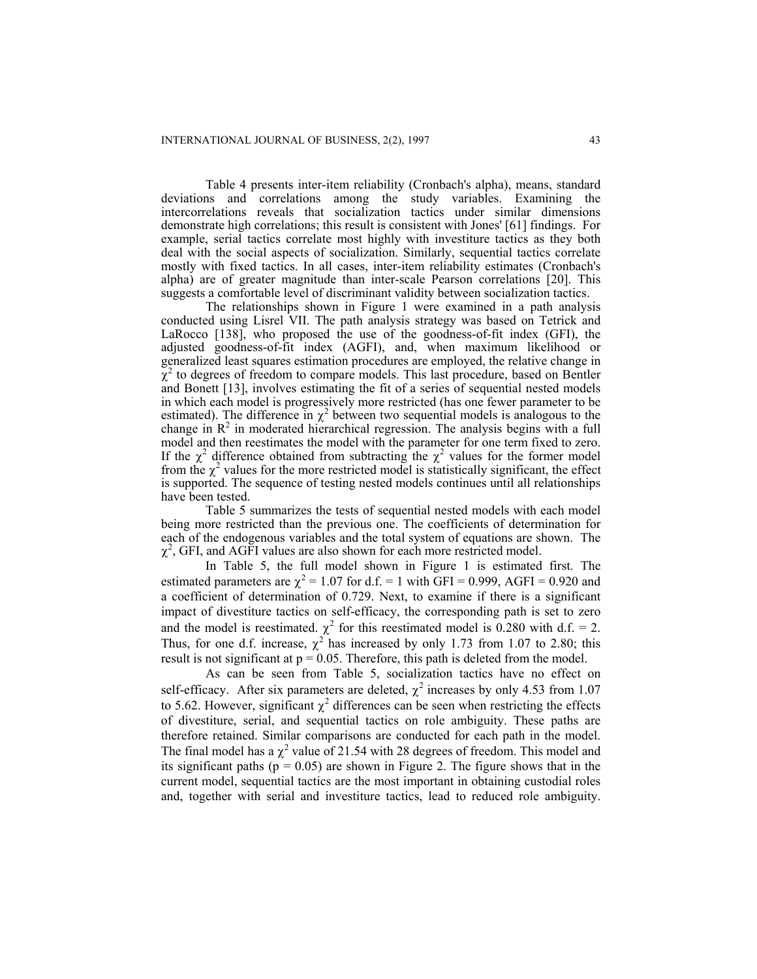Table 4 presents inter-item reliability (Cronbach's alpha), means, standard deviations and correlations among the study variables. Examining the intercorrelations reveals that socialization tactics under similar dimensions demonstrate high correlations; this result is consistent with Jones' [61] findings. For example, serial tactics correlate most highly with investiture tactics as they both deal with the social aspects of socialization. Similarly, sequential tactics correlate mostly with fixed tactics. In all cases, inter-item reliability estimates (Cronbach's alpha) are of greater magnitude than inter-scale Pearson correlations [20]. This suggests a comfortable level of discriminant validity between socialization tactics.

The relationships shown in Figure 1 were examined in a path analysis conducted using Lisrel VII. The path analysis strategy was based on Tetrick and LaRocco [138], who proposed the use of the goodness-of-fit index (GFI), the adjusted goodness-of-fit index (AGFI), and, when maximum likelihood or generalized least squares estimation procedures are employed, the relative change in  $\tilde{\chi}^2$  to degrees of freedom to compare models. This last procedure, based on Bentler and Bonett [13], involves estimating the fit of a series of sequential nested models in which each model is progressively more restricted (has one fewer parameter to be estimated). The difference in  $\chi^2$  between two sequential models is analogous to the change in  $\mathbb{R}^2$  in moderated hierarchical regression. The analysis begins with a full model and then reestimates the model with the parameter for one term fixed to zero. If the  $\chi^2$  difference obtained from subtracting the  $\chi^2$  values for the former model from the  $\chi^2$  values for the more restricted model is statistically significant, the effect is supported. The sequence of testing nested models continues until all relationships have been tested.

Table 5 summarizes the tests of sequential nested models with each model being more restricted than the previous one. The coefficients of determination for each of the endogenous variables and the total system of equations are shown. The  $\chi^2$ , GFI, and AGFI values are also shown for each more restricted model.

 In Table 5, the full model shown in Figure 1 is estimated first. The estimated parameters are  $\chi^2 = 1.07$  for d.f. = 1 with GFI = 0.999, AGFI = 0.920 and a coefficient of determination of 0.729. Next, to examine if there is a significant impact of divestiture tactics on self-efficacy, the corresponding path is set to zero and the model is reestimated.  $\chi^2$  for this reestimated model is 0.280 with d.f. = 2. Thus, for one d.f. increase,  $\chi^2$  has increased by only 1.73 from 1.07 to 2.80; this result is not significant at  $p = 0.05$ . Therefore, this path is deleted from the model.

As can be seen from Table 5, socialization tactics have no effect on self-efficacy. After six parameters are deleted,  $\chi^2$  increases by only 4.53 from 1.07 to 5.62. However, significant  $\chi^2$  differences can be seen when restricting the effects of divestiture, serial, and sequential tactics on role ambiguity. These paths are therefore retained. Similar comparisons are conducted for each path in the model. The final model has a  $\chi^2$  value of 21.54 with 28 degrees of freedom. This model and its significant paths ( $p = 0.05$ ) are shown in Figure 2. The figure shows that in the current model, sequential tactics are the most important in obtaining custodial roles and, together with serial and investiture tactics, lead to reduced role ambiguity.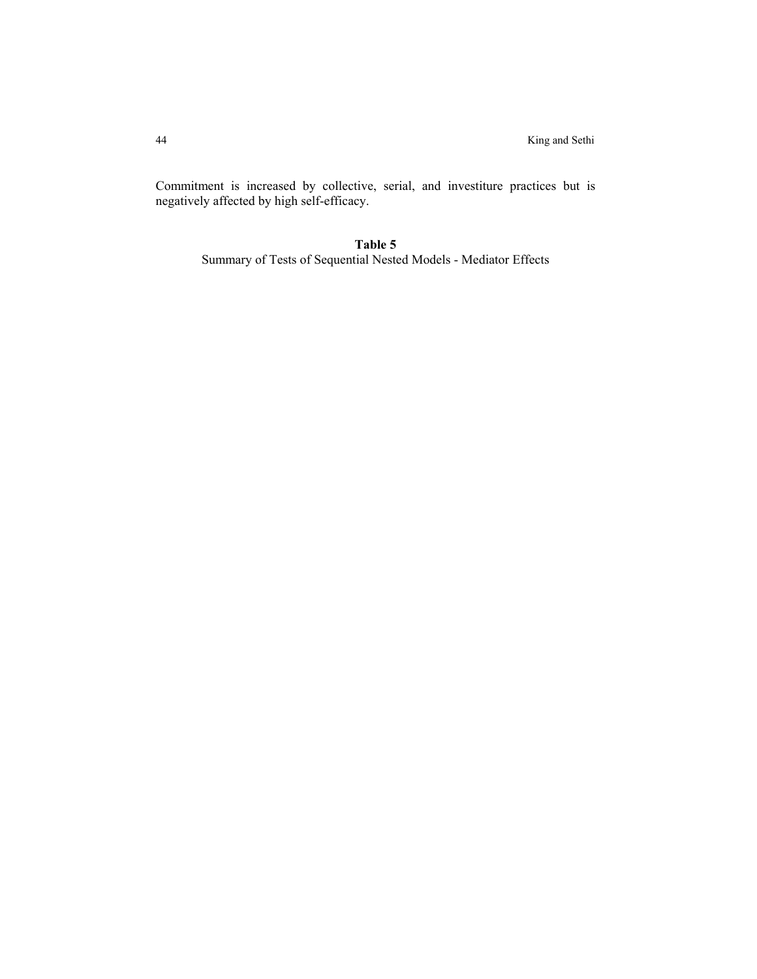Commitment is increased by collective, serial, and investiture practices but is negatively affected by high self-efficacy.

# **Table 5**

Summary of Tests of Sequential Nested Models - Mediator Effects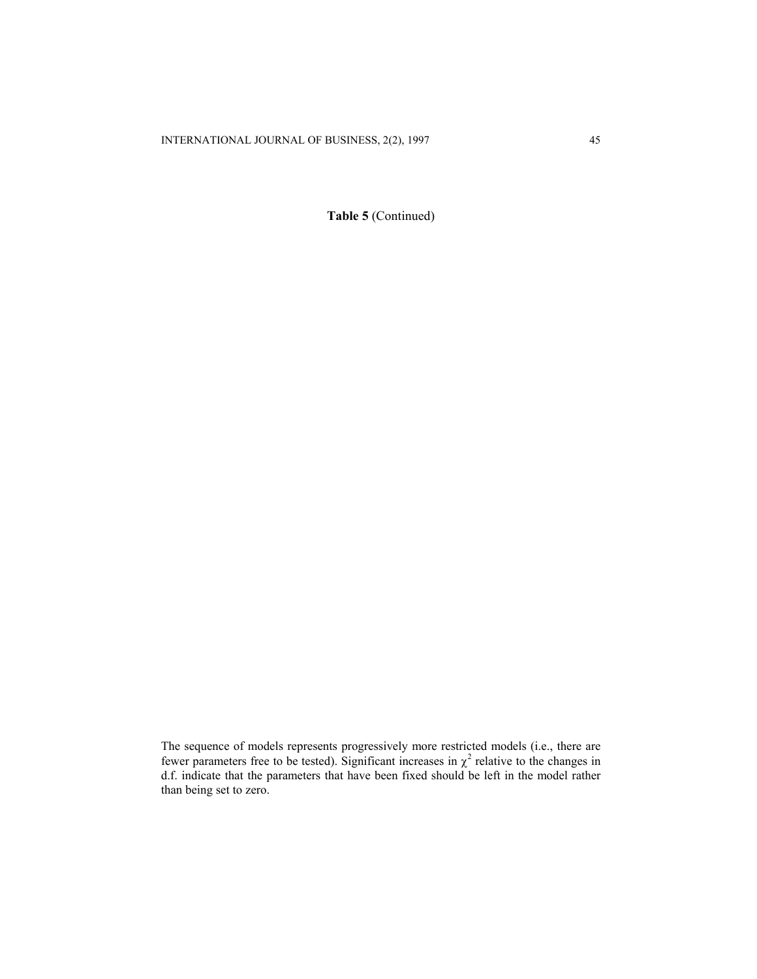**Table 5** (Continued)

The sequence of models represents progressively more restricted models (i.e., there are fewer parameters free to be tested). Significant increases in  $\chi^2$  relative to the changes in d.f. indicate that the parameters that have been fixed should be left in the model rather than being set to zero.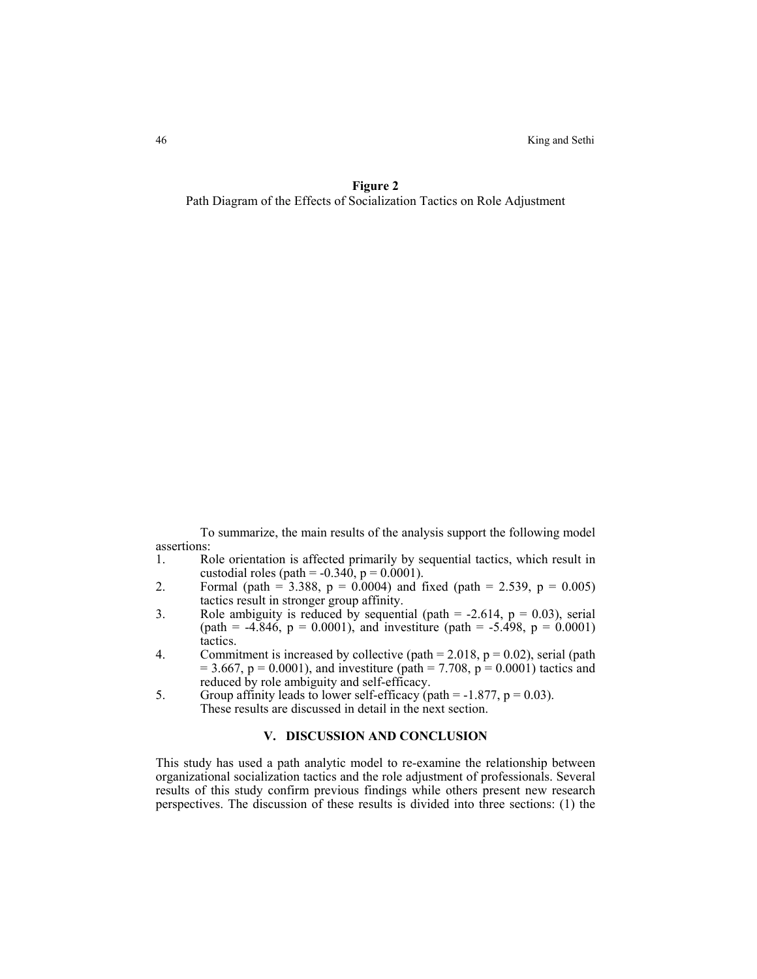46 King and Sethi

**Figure 2**  Path Diagram of the Effects of Socialization Tactics on Role Adjustment

To summarize, the main results of the analysis support the following model assertions:

- 1. Role orientation is affected primarily by sequential tactics, which result in custodial roles (path =  $-0.340$ , p =  $0.0001$ ).
- 2. Formal (path = 3.388, p = 0.0004) and fixed (path = 2.539, p = 0.005) tactics result in stronger group affinity.
- 3. Role ambiguity is reduced by sequential (path  $= -2.614$ ,  $p = 0.03$ ), serial (path =  $-4.846$ , p = 0.0001), and investiture (path =  $-5.498$ , p = 0.0001) tactics.
- 4. Commitment is increased by collective (path =  $2.018$ , p = 0.02), serial (path  $= 3.667$ , p = 0.0001), and investiture (path = 7.708, p = 0.0001) tactics and reduced by role ambiguity and self-efficacy.
- 5. Group affinity leads to lower self-efficacy (path =  $-1.877$ , p = 0.03). These results are discussed in detail in the next section.

# **V. DISCUSSION AND CONCLUSION**

This study has used a path analytic model to re-examine the relationship between organizational socialization tactics and the role adjustment of professionals. Several results of this study confirm previous findings while others present new research perspectives. The discussion of these results is divided into three sections: (1) the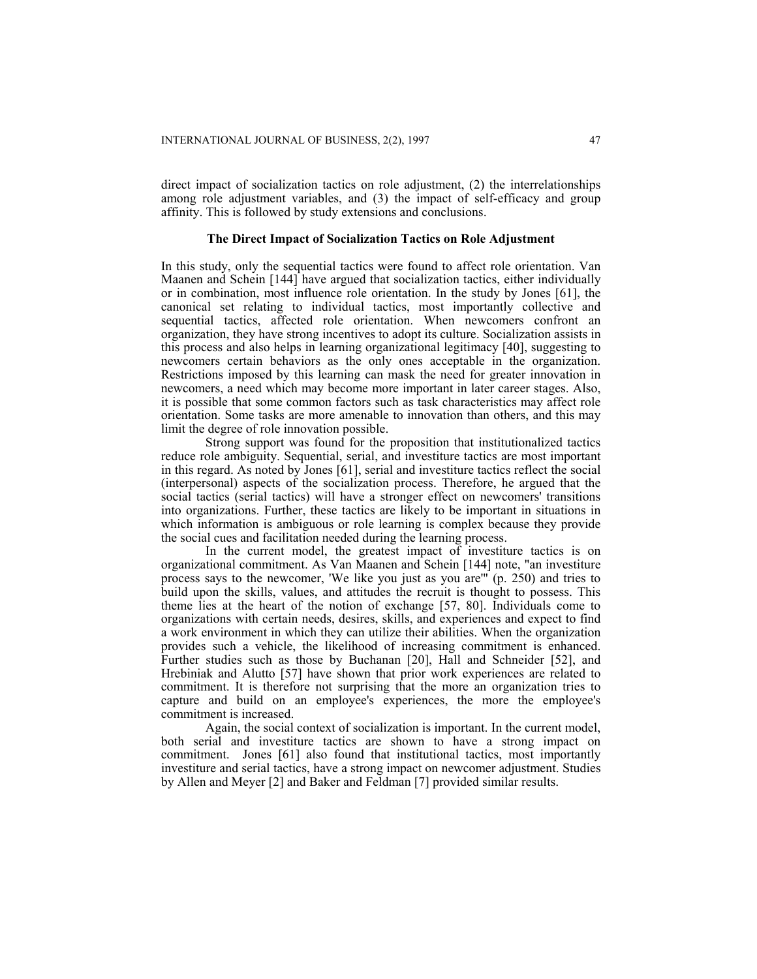direct impact of socialization tactics on role adjustment, (2) the interrelationships among role adjustment variables, and (3) the impact of self-efficacy and group affinity. This is followed by study extensions and conclusions.

# **The Direct Impact of Socialization Tactics on Role Adjustment**

In this study, only the sequential tactics were found to affect role orientation. Van Maanen and Schein [144] have argued that socialization tactics, either individually or in combination, most influence role orientation. In the study by Jones [61], the canonical set relating to individual tactics, most importantly collective and sequential tactics, affected role orientation. When newcomers confront an organization, they have strong incentives to adopt its culture. Socialization assists in this process and also helps in learning organizational legitimacy [40], suggesting to newcomers certain behaviors as the only ones acceptable in the organization. Restrictions imposed by this learning can mask the need for greater innovation in newcomers, a need which may become more important in later career stages. Also, it is possible that some common factors such as task characteristics may affect role orientation. Some tasks are more amenable to innovation than others, and this may limit the degree of role innovation possible.

Strong support was found for the proposition that institutionalized tactics reduce role ambiguity. Sequential, serial, and investiture tactics are most important in this regard. As noted by Jones [61], serial and investiture tactics reflect the social (interpersonal) aspects of the socialization process. Therefore, he argued that the social tactics (serial tactics) will have a stronger effect on newcomers' transitions into organizations. Further, these tactics are likely to be important in situations in which information is ambiguous or role learning is complex because they provide the social cues and facilitation needed during the learning process.

In the current model, the greatest impact of investiture tactics is on organizational commitment. As Van Maanen and Schein [144] note, "an investiture process says to the newcomer, 'We like you just as you are'" (p. 250) and tries to build upon the skills, values, and attitudes the recruit is thought to possess. This theme lies at the heart of the notion of exchange [57, 80]. Individuals come to organizations with certain needs, desires, skills, and experiences and expect to find a work environment in which they can utilize their abilities. When the organization provides such a vehicle, the likelihood of increasing commitment is enhanced. Further studies such as those by Buchanan [20], Hall and Schneider [52], and Hrebiniak and Alutto [57] have shown that prior work experiences are related to commitment. It is therefore not surprising that the more an organization tries to capture and build on an employee's experiences, the more the employee's commitment is increased.

Again, the social context of socialization is important. In the current model, both serial and investiture tactics are shown to have a strong impact on commitment. Jones [61] also found that institutional tactics, most importantly investiture and serial tactics, have a strong impact on newcomer adjustment. Studies by Allen and Meyer [2] and Baker and Feldman [7] provided similar results.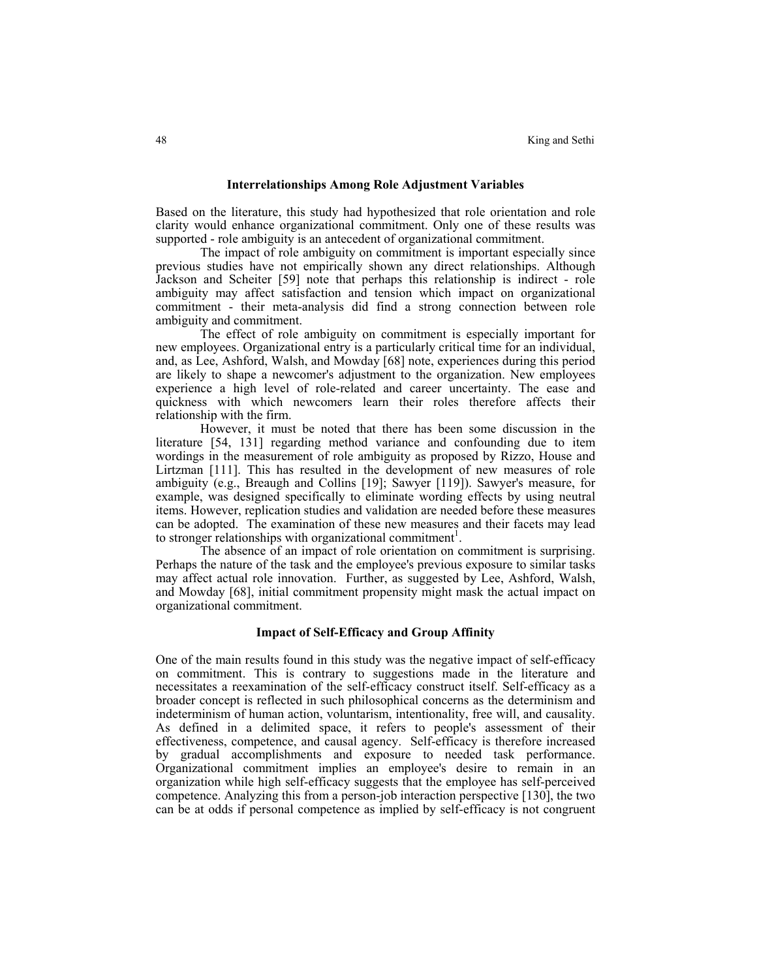#### **Interrelationships Among Role Adjustment Variables**

Based on the literature, this study had hypothesized that role orientation and role clarity would enhance organizational commitment. Only one of these results was supported - role ambiguity is an antecedent of organizational commitment.

The impact of role ambiguity on commitment is important especially since previous studies have not empirically shown any direct relationships. Although Jackson and Scheiter [59] note that perhaps this relationship is indirect - role ambiguity may affect satisfaction and tension which impact on organizational commitment - their meta-analysis did find a strong connection between role ambiguity and commitment.

The effect of role ambiguity on commitment is especially important for new employees. Organizational entry is a particularly critical time for an individual, and, as Lee, Ashford, Walsh, and Mowday [68] note, experiences during this period are likely to shape a newcomer's adjustment to the organization. New employees experience a high level of role-related and career uncertainty. The ease and quickness with which newcomers learn their roles therefore affects their relationship with the firm.

However, it must be noted that there has been some discussion in the literature [54, 131] regarding method variance and confounding due to item wordings in the measurement of role ambiguity as proposed by Rizzo, House and Lirtzman [111]. This has resulted in the development of new measures of role ambiguity (e.g., Breaugh and Collins [19]; Sawyer [119]). Sawyer's measure, for example, was designed specifically to eliminate wording effects by using neutral items. However, replication studies and validation are needed before these measures can be adopted. The examination of these new measures and their facets may lead to stronger relationships with organizational commitment<sup>1</sup>.

The absence of an impact of role orientation on commitment is surprising. Perhaps the nature of the task and the employee's previous exposure to similar tasks may affect actual role innovation. Further, as suggested by Lee, Ashford, Walsh, and Mowday [68], initial commitment propensity might mask the actual impact on organizational commitment.

# **Impact of Self-Efficacy and Group Affinity**

One of the main results found in this study was the negative impact of self-efficacy on commitment. This is contrary to suggestions made in the literature and necessitates a reexamination of the self-efficacy construct itself. Self-efficacy as a broader concept is reflected in such philosophical concerns as the determinism and indeterminism of human action, voluntarism, intentionality, free will, and causality. As defined in a delimited space, it refers to people's assessment of their effectiveness, competence, and causal agency. Self-efficacy is therefore increased by gradual accomplishments and exposure to needed task performance. Organizational commitment implies an employee's desire to remain in an organization while high self-efficacy suggests that the employee has self-perceived competence. Analyzing this from a person-job interaction perspective [130], the two can be at odds if personal competence as implied by self-efficacy is not congruent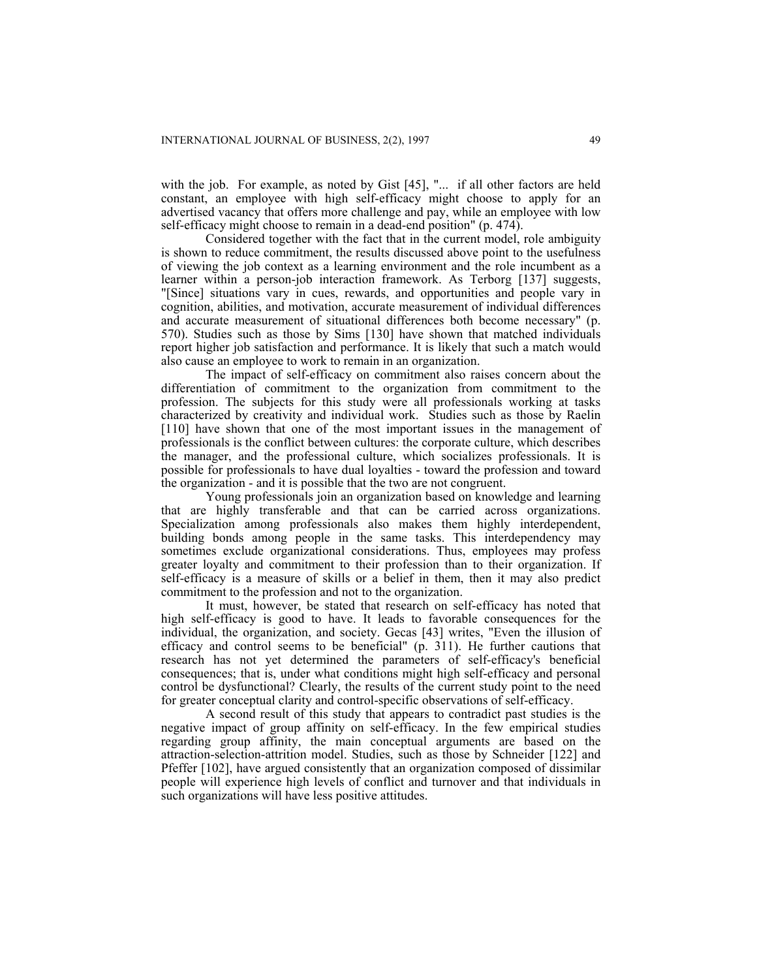with the job. For example, as noted by Gist [45], "... if all other factors are held constant, an employee with high self-efficacy might choose to apply for an advertised vacancy that offers more challenge and pay, while an employee with low self-efficacy might choose to remain in a dead-end position" (p. 474).

Considered together with the fact that in the current model, role ambiguity is shown to reduce commitment, the results discussed above point to the usefulness of viewing the job context as a learning environment and the role incumbent as a learner within a person-job interaction framework. As Terborg [137] suggests, "[Since] situations vary in cues, rewards, and opportunities and people vary in cognition, abilities, and motivation, accurate measurement of individual differences and accurate measurement of situational differences both become necessary" (p. 570). Studies such as those by Sims [130] have shown that matched individuals report higher job satisfaction and performance. It is likely that such a match would also cause an employee to work to remain in an organization.

The impact of self-efficacy on commitment also raises concern about the differentiation of commitment to the organization from commitment to the profession. The subjects for this study were all professionals working at tasks characterized by creativity and individual work. Studies such as those by Raelin [110] have shown that one of the most important issues in the management of professionals is the conflict between cultures: the corporate culture, which describes the manager, and the professional culture, which socializes professionals. It is possible for professionals to have dual loyalties - toward the profession and toward the organization - and it is possible that the two are not congruent.

Young professionals join an organization based on knowledge and learning that are highly transferable and that can be carried across organizations. Specialization among professionals also makes them highly interdependent, building bonds among people in the same tasks. This interdependency may sometimes exclude organizational considerations. Thus, employees may profess greater loyalty and commitment to their profession than to their organization. If self-efficacy is a measure of skills or a belief in them, then it may also predict commitment to the profession and not to the organization.

It must, however, be stated that research on self-efficacy has noted that high self-efficacy is good to have. It leads to favorable consequences for the individual, the organization, and society. Gecas [43] writes, "Even the illusion of efficacy and control seems to be beneficial" (p. 311). He further cautions that research has not yet determined the parameters of self-efficacy's beneficial consequences; that is, under what conditions might high self-efficacy and personal control be dysfunctional? Clearly, the results of the current study point to the need for greater conceptual clarity and control-specific observations of self-efficacy.

A second result of this study that appears to contradict past studies is the negative impact of group affinity on self-efficacy. In the few empirical studies regarding group affinity, the main conceptual arguments are based on the attraction-selection-attrition model. Studies, such as those by Schneider [122] and Pfeffer [102], have argued consistently that an organization composed of dissimilar people will experience high levels of conflict and turnover and that individuals in such organizations will have less positive attitudes.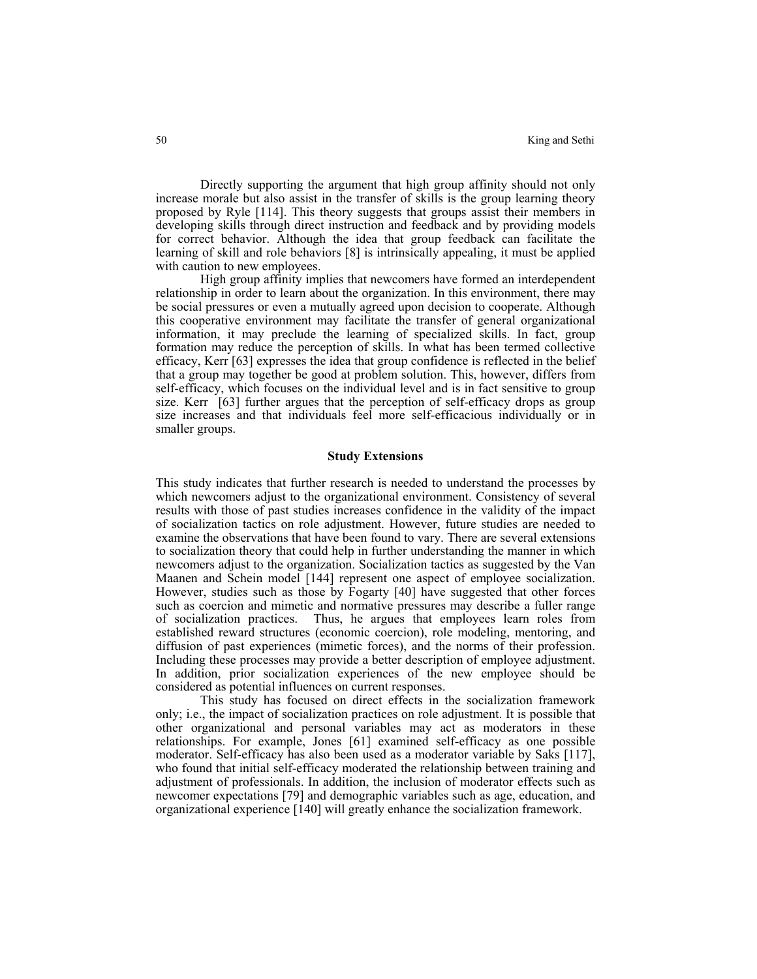Directly supporting the argument that high group affinity should not only increase morale but also assist in the transfer of skills is the group learning theory proposed by Ryle [114]. This theory suggests that groups assist their members in developing skills through direct instruction and feedback and by providing models for correct behavior. Although the idea that group feedback can facilitate the learning of skill and role behaviors [8] is intrinsically appealing, it must be applied with caution to new employees.

High group affinity implies that newcomers have formed an interdependent relationship in order to learn about the organization. In this environment, there may be social pressures or even a mutually agreed upon decision to cooperate. Although this cooperative environment may facilitate the transfer of general organizational information, it may preclude the learning of specialized skills. In fact, group formation may reduce the perception of skills. In what has been termed collective efficacy, Kerr [63] expresses the idea that group confidence is reflected in the belief that a group may together be good at problem solution. This, however, differs from self-efficacy, which focuses on the individual level and is in fact sensitive to group size. Kerr [63] further argues that the perception of self-efficacy drops as group size increases and that individuals feel more self-efficacious individually or in smaller groups.

### **Study Extensions**

This study indicates that further research is needed to understand the processes by which newcomers adjust to the organizational environment. Consistency of several results with those of past studies increases confidence in the validity of the impact of socialization tactics on role adjustment. However, future studies are needed to examine the observations that have been found to vary. There are several extensions to socialization theory that could help in further understanding the manner in which newcomers adjust to the organization. Socialization tactics as suggested by the Van Maanen and Schein model [144] represent one aspect of employee socialization. However, studies such as those by Fogarty [40] have suggested that other forces such as coercion and mimetic and normative pressures may describe a fuller range of socialization practices. Thus, he argues that employees learn roles from established reward structures (economic coercion), role modeling, mentoring, and diffusion of past experiences (mimetic forces), and the norms of their profession. Including these processes may provide a better description of employee adjustment. In addition, prior socialization experiences of the new employee should be considered as potential influences on current responses.

This study has focused on direct effects in the socialization framework only; i.e., the impact of socialization practices on role adjustment. It is possible that other organizational and personal variables may act as moderators in these relationships. For example, Jones [61] examined self-efficacy as one possible moderator. Self-efficacy has also been used as a moderator variable by Saks [117], who found that initial self-efficacy moderated the relationship between training and adjustment of professionals. In addition, the inclusion of moderator effects such as newcomer expectations [79] and demographic variables such as age, education, and organizational experience [140] will greatly enhance the socialization framework.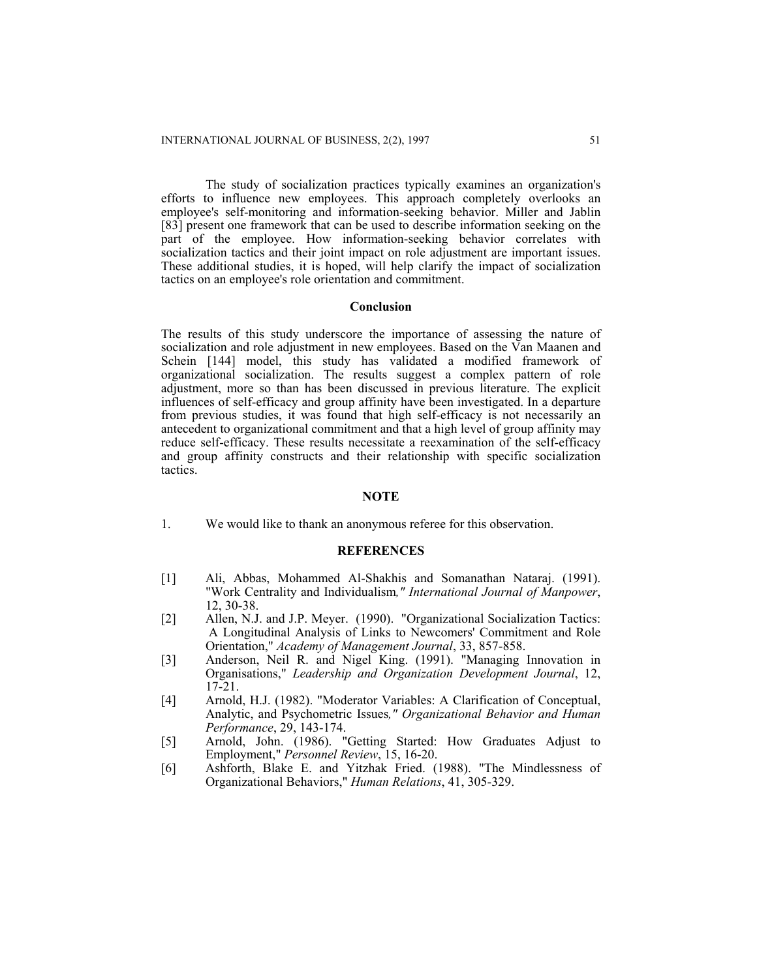The study of socialization practices typically examines an organization's efforts to influence new employees. This approach completely overlooks an employee's self-monitoring and information-seeking behavior. Miller and Jablin [83] present one framework that can be used to describe information seeking on the part of the employee. How information-seeking behavior correlates with socialization tactics and their joint impact on role adjustment are important issues. These additional studies, it is hoped, will help clarify the impact of socialization tactics on an employee's role orientation and commitment.

#### **Conclusion**

The results of this study underscore the importance of assessing the nature of socialization and role adjustment in new employees. Based on the Van Maanen and Schein [144] model, this study has validated a modified framework of organizational socialization. The results suggest a complex pattern of role adjustment, more so than has been discussed in previous literature. The explicit influences of self-efficacy and group affinity have been investigated. In a departure from previous studies, it was found that high self-efficacy is not necessarily an antecedent to organizational commitment and that a high level of group affinity may reduce self-efficacy. These results necessitate a reexamination of the self-efficacy and group affinity constructs and their relationship with specific socialization tactics.

# **NOTE**

1. We would like to thank an anonymous referee for this observation.

### **REFERENCES**

- [1] Ali, Abbas, Mohammed Al-Shakhis and Somanathan Nataraj. (1991). "Work Centrality and Individualism*," International Journal of Manpower*, 12, 30-38.
- [2] Allen, N.J. and J.P. Meyer. (1990). "Organizational Socialization Tactics: A Longitudinal Analysis of Links to Newcomers' Commitment and Role Orientation," *Academy of Management Journal*, 33, 857-858.
- [3] Anderson, Neil R. and Nigel King. (1991). "Managing Innovation in Organisations," *Leadership and Organization Development Journal*, 12, 17-21.
- [4] Arnold, H.J. (1982). "Moderator Variables: A Clarification of Conceptual, Analytic, and Psychometric Issues*," Organizational Behavior and Human Performance*, 29, 143-174.
- [5] Arnold, John. (1986). "Getting Started: How Graduates Adjust to Employment," *Personnel Review*, 15, 16-20.
- [6] Ashforth, Blake E. and Yitzhak Fried. (1988). "The Mindlessness of Organizational Behaviors," *Human Relations*, 41, 305-329.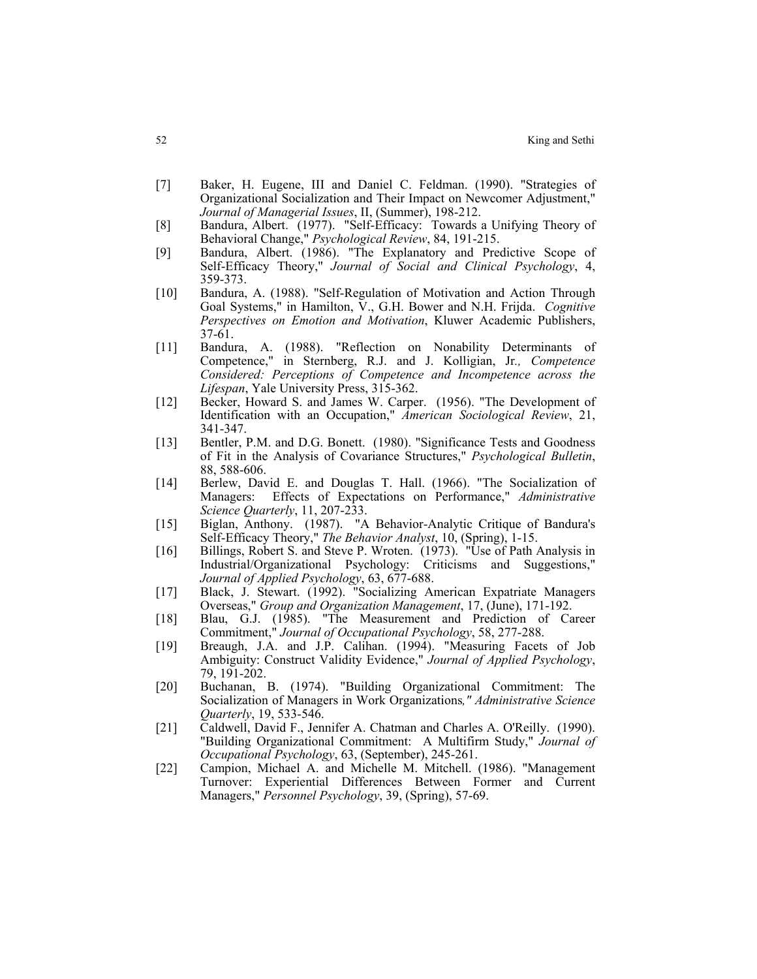- [7] Baker, H. Eugene, III and Daniel C. Feldman. (1990). "Strategies of Organizational Socialization and Their Impact on Newcomer Adjustment," *Journal of Managerial Issues*, II, (Summer), 198-212.
- [8] Bandura, Albert. (1977). "Self-Efficacy: Towards a Unifying Theory of Behavioral Change," *Psychological Review*, 84, 191-215.
- [9] Bandura, Albert. (1986). "The Explanatory and Predictive Scope of Self-Efficacy Theory," *Journal of Social and Clinical Psychology*, 4, 359-373.
- [10] Bandura, A. (1988). "Self-Regulation of Motivation and Action Through Goal Systems," in Hamilton, V., G.H. Bower and N.H. Frijda. *Cognitive Perspectives on Emotion and Motivation*, Kluwer Academic Publishers, 37-61.
- [11] Bandura, A. (1988). "Reflection on Nonability Determinants of Competence," in Sternberg, R.J. and J. Kolligian, Jr*., Competence Considered: Perceptions of Competence and Incompetence across the Lifespan*, Yale University Press, 315-362.
- [12] Becker, Howard S. and James W. Carper. (1956). "The Development of Identification with an Occupation," *American Sociological Review*, 21, 341-347.
- [13] Bentler, P.M. and D.G. Bonett. (1980). "Significance Tests and Goodness of Fit in the Analysis of Covariance Structures," *Psychological Bulletin*, 88, 588-606.
- [14] Berlew, David E. and Douglas T. Hall. (1966). "The Socialization of Managers: Effects of Expectations on Performance," *Administrative Science Quarterly*, 11, 207-233.
- [15] Biglan, Anthony. (1987). "A Behavior-Analytic Critique of Bandura's Self-Efficacy Theory," *The Behavior Analyst*, 10, (Spring), 1-15.
- [16] Billings, Robert S. and Steve P. Wroten. (1973). "Use of Path Analysis in Industrial/Organizational Psychology: Criticisms and Suggestions," *Journal of Applied Psychology*, 63, 677-688.
- [17] Black, J. Stewart. (1992). "Socializing American Expatriate Managers Overseas," *Group and Organization Management*, 17, (June), 171-192.
- [18] Blau, G.J. (1985). "The Measurement and Prediction of Career Commitment," *Journal of Occupational Psychology*, 58, 277-288.
- [19] Breaugh, J.A. and J.P. Calihan. (1994). "Measuring Facets of Job Ambiguity: Construct Validity Evidence," *Journal of Applied Psychology*, 79, 191-202.
- [20] Buchanan, B. (1974). "Building Organizational Commitment: The Socialization of Managers in Work Organizations*," Administrative Science Quarterly*, 19, 533-546.
- [21] Caldwell, David F., Jennifer A. Chatman and Charles A. O'Reilly. (1990). "Building Organizational Commitment: A Multifirm Study," *Journal of Occupational Psychology*, 63, (September), 245-261.
- [22] Campion, Michael A. and Michelle M. Mitchell. (1986). "Management Turnover: Experiential Differences Between Former and Current Managers," *Personnel Psychology*, 39, (Spring), 57-69.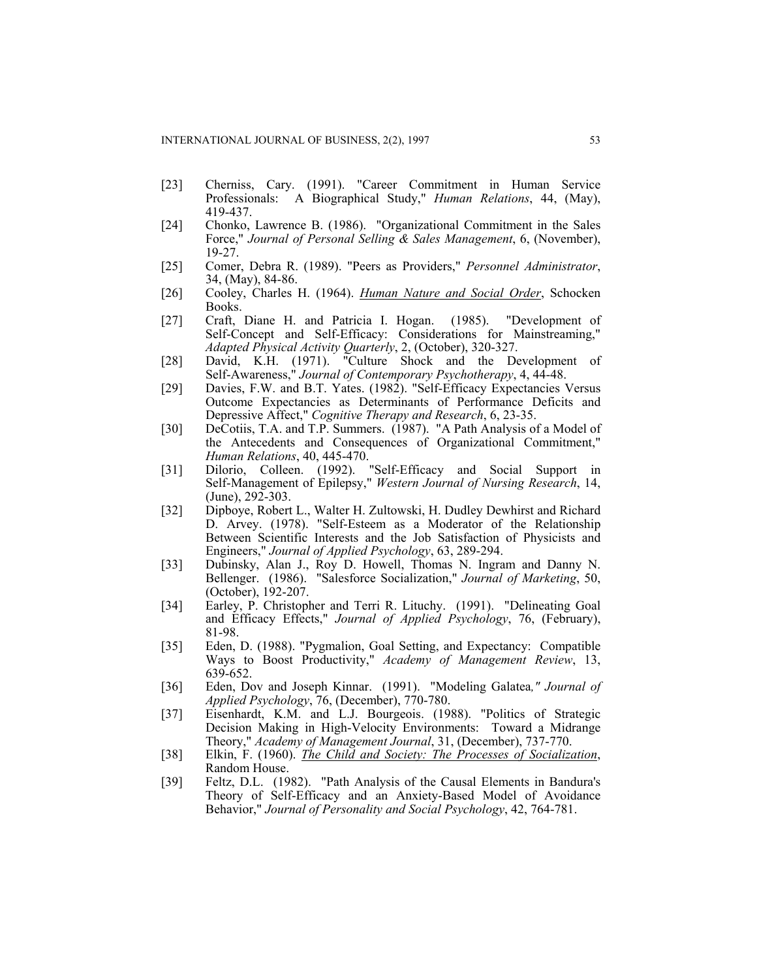- [23] Cherniss, Cary. (1991). "Career Commitment in Human Service Professionals: A Biographical Study," *Human Relations*, 44, (May), 419-437.
- [24] Chonko, Lawrence B. (1986). "Organizational Commitment in the Sales Force," *Journal of Personal Selling & Sales Management*, 6, (November), 19-27.
- [25] Comer, Debra R. (1989). "Peers as Providers," *Personnel Administrator*, 34, (May), 84-86.
- [26] Cooley, Charles H. (1964). *Human Nature and Social Order*, Schocken Books.
- [27] Craft, Diane H. and Patricia I. Hogan. (1985). "Development of Self-Concept and Self-Efficacy: Considerations for Mainstreaming," *Adapted Physical Activity Quarterly*, 2, (October), 320-327.
- [28] David, K.H. (1971). "Culture Shock and the Development of Self-Awareness," *Journal of Contemporary Psychotherapy*, 4, 44-48.
- [29] Davies, F.W. and B.T. Yates. (1982). "Self-Efficacy Expectancies Versus Outcome Expectancies as Determinants of Performance Deficits and Depressive Affect," *Cognitive Therapy and Research*, 6, 23-35.
- [30] DeCotiis, T.A. and T.P. Summers. (1987). "A Path Analysis of a Model of the Antecedents and Consequences of Organizational Commitment," *Human Relations*, 40, 445-470.
- [31] Dilorio, Colleen. (1992). "Self-Efficacy and Social Support in Self-Management of Epilepsy," *Western Journal of Nursing Research*, 14, (June), 292-303.
- [32] Dipboye, Robert L., Walter H. Zultowski, H. Dudley Dewhirst and Richard D. Arvey. (1978). "Self-Esteem as a Moderator of the Relationship Between Scientific Interests and the Job Satisfaction of Physicists and Engineers," *Journal of Applied Psychology*, 63, 289-294.
- [33] Dubinsky, Alan J., Roy D. Howell, Thomas N. Ingram and Danny N. Bellenger. (1986). "Salesforce Socialization," *Journal of Marketing*, 50, (October), 192-207.
- [34] Earley, P. Christopher and Terri R. Lituchy. (1991). "Delineating Goal and Efficacy Effects," *Journal of Applied Psychology*, 76, (February), 81-98.
- [35] Eden, D. (1988). "Pygmalion, Goal Setting, and Expectancy: Compatible Ways to Boost Productivity," *Academy of Management Review*, 13, 639-652.
- [36] Eden, Dov and Joseph Kinnar. (1991). "Modeling Galatea*," Journal of Applied Psychology*, 76, (December), 770-780.
- [37] Eisenhardt, K.M. and L.J. Bourgeois. (1988). "Politics of Strategic Decision Making in High-Velocity Environments: Toward a Midrange Theory," *Academy of Management Journal*, 31, (December), 737-770.
- [38] Elkin, F. (1960). *The Child and Society: The Processes of Socialization*, Random House.
- [39] Feltz, D.L. (1982). "Path Analysis of the Causal Elements in Bandura's Theory of Self-Efficacy and an Anxiety-Based Model of Avoidance Behavior," *Journal of Personality and Social Psychology*, 42, 764-781.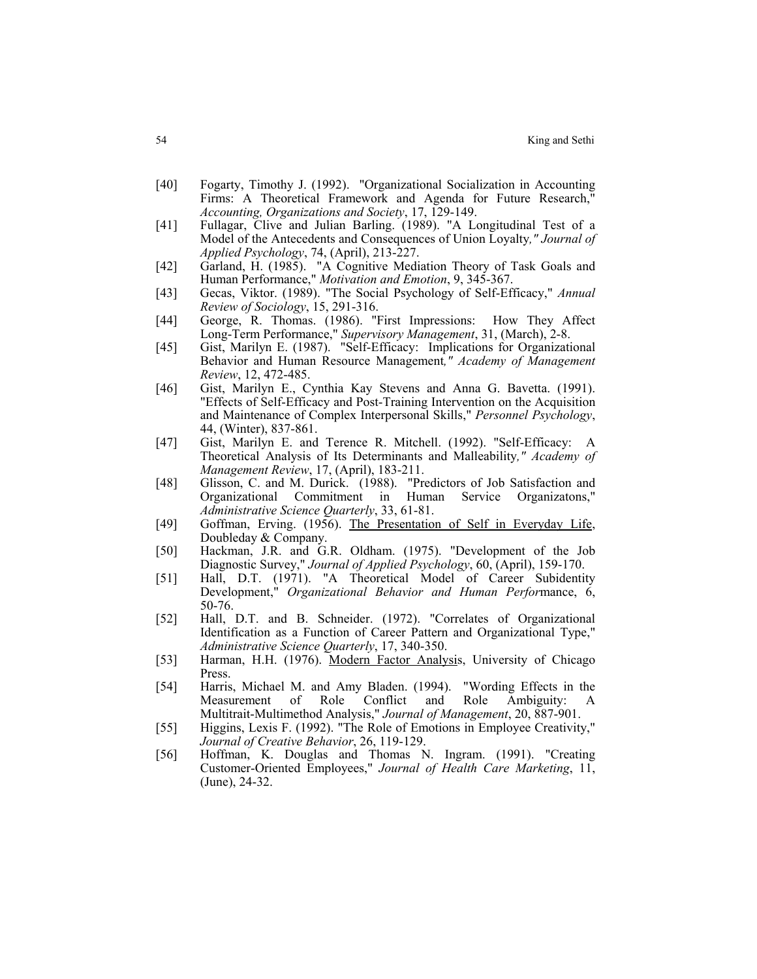- [40] Fogarty, Timothy J. (1992). "Organizational Socialization in Accounting Firms: A Theoretical Framework and Agenda for Future Research," *Accounting, Organizations and Society*, 17, 129-149.
- [41] Fullagar, Clive and Julian Barling. (1989). "A Longitudinal Test of a Model of the Antecedents and Consequences of Union Loyalty*," Journal of Applied Psychology*, 74, (April), 213-227.
- [42] Garland, H. (1985). "A Cognitive Mediation Theory of Task Goals and Human Performance," *Motivation and Emotion*, 9, 345-367.
- [43] Gecas, Viktor. (1989). "The Social Psychology of Self-Efficacy," *Annual Review of Sociology*, 15, 291-316.
- [44] George, R. Thomas. (1986). "First Impressions: How They Affect Long-Term Performance," *Supervisory Management*, 31, (March), 2-8.
- [45] Gist, Marilyn E. (1987). "Self-Efficacy: Implications for Organizational Behavior and Human Resource Management*," Academy of Management Review*, 12, 472-485.
- [46] Gist, Marilyn E., Cynthia Kay Stevens and Anna G. Bavetta. (1991). "Effects of Self-Efficacy and Post-Training Intervention on the Acquisition and Maintenance of Complex Interpersonal Skills," *Personnel Psychology*, 44, (Winter), 837-861.
- [47] Gist, Marilyn E. and Terence R. Mitchell. (1992). "Self-Efficacy: A Theoretical Analysis of Its Determinants and Malleability*," Academy of Management Review*, 17, (April), 183-211.
- [48] Glisson, C. and M. Durick. (1988). "Predictors of Job Satisfaction and Organizational Commitment in Human Service Organizatons," *Administrative Science Quarterly*, 33, 61-81.
- [49] Goffman, Erving. (1956). The Presentation of Self in Everyday Life, Doubleday & Company.
- [50] Hackman, J.R. and G.R. Oldham. (1975). "Development of the Job Diagnostic Survey," *Journal of Applied Psychology*, 60, (April), 159-170.
- [51] Hall, D.T. (1971). "A Theoretical Model of Career Subidentity Development," *Organizational Behavior and Human Perfor*mance, 6, 50-76.
- [52] Hall, D.T. and B. Schneider. (1972). "Correlates of Organizational Identification as a Function of Career Pattern and Organizational Type," *Administrative Science Quarterly*, 17, 340-350.
- [53] Harman, H.H. (1976). Modern Factor Analysis, University of Chicago Press.
- [54] Harris, Michael M. and Amy Bladen. (1994). "Wording Effects in the Measurement of Role Conflict and Role Ambiguity: A Multitrait-Multimethod Analysis," *Journal of Management*, 20, 887-901.
- [55] Higgins, Lexis F. (1992). "The Role of Emotions in Employee Creativity," *Journal of Creative Behavior*, 26, 119-129.
- [56] Hoffman, K. Douglas and Thomas N. Ingram. (1991). "Creating Customer-Oriented Employees," *Journal of Health Care Marketing*, 11, (June), 24-32.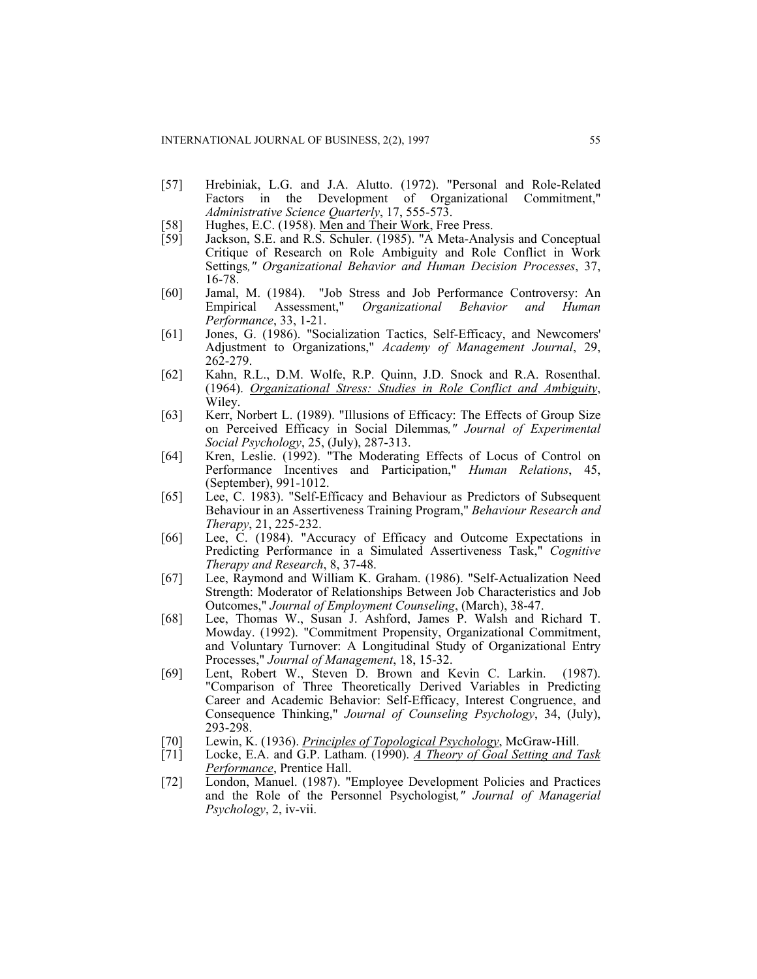- [57] Hrebiniak, L.G. and J.A. Alutto. (1972). "Personal and Role-Related Factors in the Development of Organizational Commitment," *Administrative Science Quarterly*, 17, 555-573.
- [58] Hughes, E.C. (1958). Men and Their Work, Free Press.<br>[59] Jackson, S.E. and R.S. Schuler. (1985). "A Meta-Anal
- Jackson, S.E. and R.S. Schuler. (1985). "A Meta-Analysis and Conceptual Critique of Research on Role Ambiguity and Role Conflict in Work Settings*," Organizational Behavior and Human Decision Processes*, 37, 16-78.
- [60] Jamal, M. (1984). "Job Stress and Job Performance Controversy: An Empirical Assessment," *Organizational Behavior and Human Performance*, 33, 1-21.
- [61] Jones, G. (1986). "Socialization Tactics, Self-Efficacy, and Newcomers' Adjustment to Organizations," *Academy of Management Journal*, 29, 262-279.
- [62] Kahn, R.L., D.M. Wolfe, R.P. Quinn, J.D. Snock and R.A. Rosenthal. (1964). *Organizational Stress: Studies in Role Conflict and Ambiguity*, Wiley.
- [63] Kerr, Norbert L. (1989). "Illusions of Efficacy: The Effects of Group Size on Perceived Efficacy in Social Dilemmas*," Journal of Experimental Social Psychology*, 25, (July), 287-313.
- [64] Kren, Leslie. (1992). "The Moderating Effects of Locus of Control on Performance Incentives and Participation," *Human Relations*, 45, (September), 991-1012.
- [65] Lee, C. 1983). "Self-Efficacy and Behaviour as Predictors of Subsequent Behaviour in an Assertiveness Training Program," *Behaviour Research and Therapy*, 21, 225-232.
- [66] Lee, C. (1984). "Accuracy of Efficacy and Outcome Expectations in Predicting Performance in a Simulated Assertiveness Task," *Cognitive Therapy and Research*, 8, 37-48.
- [67] Lee, Raymond and William K. Graham. (1986). "Self-Actualization Need Strength: Moderator of Relationships Between Job Characteristics and Job Outcomes," *Journal of Employment Counseling*, (March), 38-47.
- [68] Lee, Thomas W., Susan J. Ashford, James P. Walsh and Richard T. Mowday. (1992). "Commitment Propensity, Organizational Commitment, and Voluntary Turnover: A Longitudinal Study of Organizational Entry Processes," *Journal of Management*, 18, 15-32.
- [69] Lent, Robert W., Steven D. Brown and Kevin C. Larkin. (1987). "Comparison of Three Theoretically Derived Variables in Predicting Career and Academic Behavior: Self-Efficacy, Interest Congruence, and Consequence Thinking," *Journal of Counseling Psychology*, 34, (July), 293-298.
- [70] Lewin, K. (1936). *Principles of Topological Psychology*, McGraw-Hill.
- [71] Locke, E.A. and G.P. Latham. (1990). *A Theory of Goal Setting and Task Performance*, Prentice Hall.
- [72] London, Manuel. (1987). "Employee Development Policies and Practices and the Role of the Personnel Psychologist*," Journal of Managerial Psychology*, 2, iv-vii.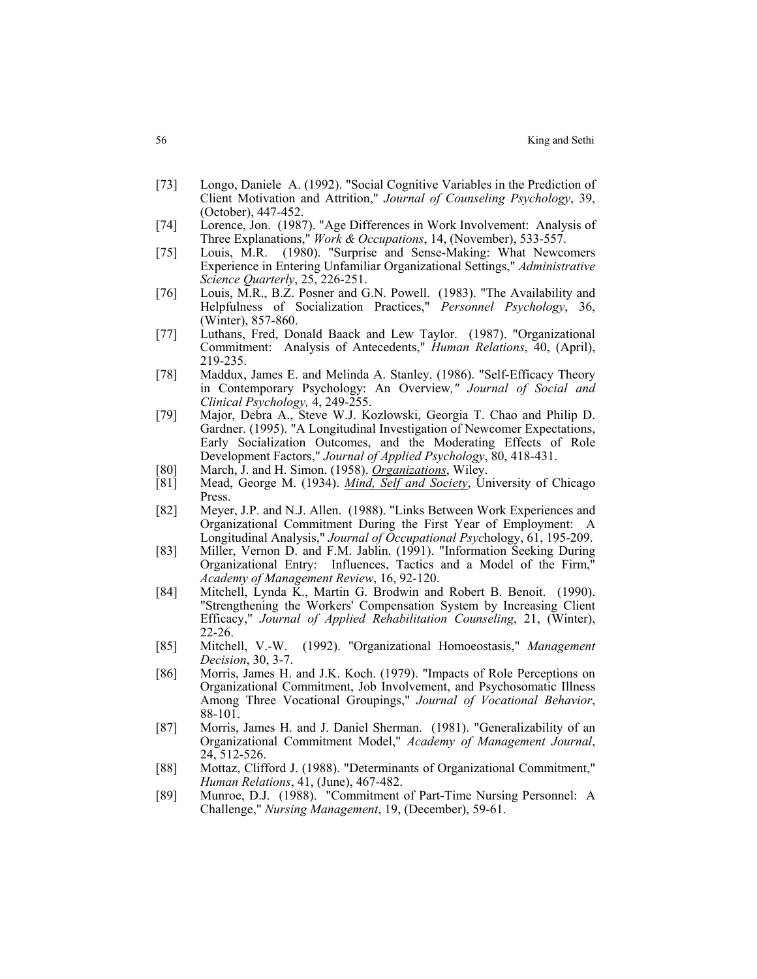- [73] Longo, Daniele A. (1992). "Social Cognitive Variables in the Prediction of Client Motivation and Attrition," *Journal of Counseling Psychology*, 39, (October), 447-452.
- [74] Lorence, Jon. (1987). "Age Differences in Work Involvement: Analysis of Three Explanations," *Work & Occupations*, 14, (November), 533-557.
- [75] Louis, M.R. (1980). "Surprise and Sense-Making: What Newcomers Experience in Entering Unfamiliar Organizational Settings," *Administrative Science Quarterly*, 25, 226-251.
- [76] Louis, M.R., B.Z. Posner and G.N. Powell. (1983). "The Availability and Helpfulness of Socialization Practices," *Personnel Psychology*, 36, (Winter), 857-860.
- [77] Luthans, Fred, Donald Baack and Lew Taylor. (1987). "Organizational Commitment: Analysis of Antecedents," *Human Relations*, 40, (April), 219-235.
- [78] Maddux, James E. and Melinda A. Stanley. (1986). "Self-Efficacy Theory in Contemporary Psychology: An Overview*," Journal of Social and Clinical Psychology,* 4, 249-255.
- [79] Major, Debra A., Steve W.J. Kozlowski, Georgia T. Chao and Philip D. Gardner. (1995). "A Longitudinal Investigation of Newcomer Expectations, Early Socialization Outcomes, and the Moderating Effects of Role Development Factors," *Journal of Applied Psychology*, 80, 418-431.
- [80] March, J. and H. Simon. (1958). *Organizations*, Wiley.
- [81] Mead, George M. (1934). *Mind, Self and Society*, University of Chicago Press.
- [82] Meyer, J.P. and N.J. Allen. (1988). "Links Between Work Experiences and Organizational Commitment During the First Year of Employment: A Longitudinal Analysis," *Journal of Occupational Psyc*hology, 61, 195-209.
- [83] Miller, Vernon D. and F.M. Jablin. (1991). "Information Seeking During Organizational Entry: Influences, Tactics and a Model of the Firm," *Academy of Management Review*, 16, 92-120.
- [84] Mitchell, Lynda K., Martin G. Brodwin and Robert B. Benoit. (1990). "Strengthening the Workers' Compensation System by Increasing Client Efficacy," *Journal of Applied Rehabilitation Counseling*, 21, (Winter), 22-26.
- [85] Mitchell, V.-W. (1992). "Organizational Homoeostasis," *Management Decision*, 30, 3-7.
- [86] Morris, James H. and J.K. Koch. (1979). "Impacts of Role Perceptions on Organizational Commitment, Job Involvement, and Psychosomatic Illness Among Three Vocational Groupings," *Journal of Vocational Behavior*, 88-101.
- [87] Morris, James H. and J. Daniel Sherman. (1981). "Generalizability of an Organizational Commitment Model," *Academy of Management Journal*, 24, 512-526.
- [88] Mottaz, Clifford J. (1988). "Determinants of Organizational Commitment," *Human Relations*, 41, (June), 467-482.
- [89] Munroe, D.J. (1988). "Commitment of Part-Time Nursing Personnel: A Challenge," *Nursing Management*, 19, (December), 59-61.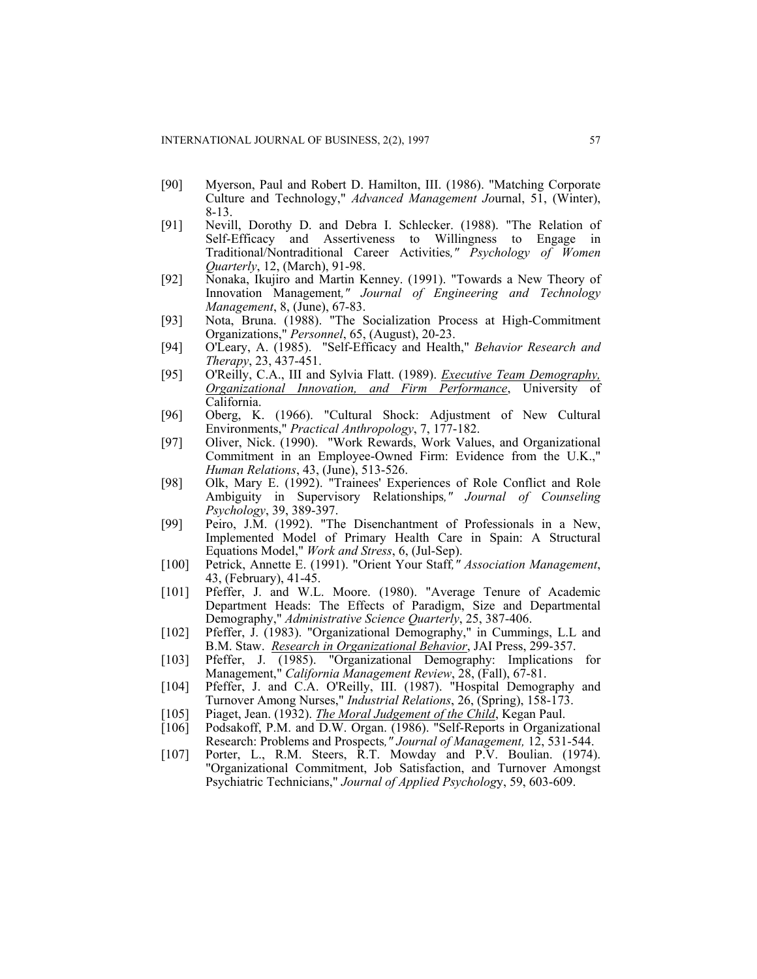- [90] Myerson, Paul and Robert D. Hamilton, III. (1986). "Matching Corporate Culture and Technology," *Advanced Management Jo*urnal, 51, (Winter), 8-13.
- [91] Nevill, Dorothy D. and Debra I. Schlecker. (1988). "The Relation of Self-Efficacy and Assertiveness to Willingness to Engage in Traditional/Nontraditional Career Activities*," Psychology of Women Quarterly*, 12, (March), 91-98.
- [92] Nonaka, Ikujiro and Martin Kenney. (1991). "Towards a New Theory of Innovation Management*," Journal of Engineering and Technology Management*, 8, (June), 67-83.
- [93] Nota, Bruna. (1988). "The Socialization Process at High-Commitment Organizations," *Personnel*, 65, (August), 20-23.
- [94] O'Leary, A. (1985). "Self-Efficacy and Health," *Behavior Research and Therapy*, 23, 437-451.
- [95] O'Reilly, C.A., III and Sylvia Flatt. (1989). *Executive Team Demography, Organizational Innovation, and Firm Performance*, University of California.
- [96] Oberg, K. (1966). "Cultural Shock: Adjustment of New Cultural Environments," *Practical Anthropology*, 7, 177-182.
- [97] Oliver, Nick. (1990). "Work Rewards, Work Values, and Organizational Commitment in an Employee-Owned Firm: Evidence from the U.K.," *Human Relations*, 43, (June), 513-526.
- [98] Olk, Mary E. (1992). "Trainees' Experiences of Role Conflict and Role Ambiguity in Supervisory Relationships*," Journal of Counseling Psychology*, 39, 389-397.
- [99] Peiro, J.M. (1992). "The Disenchantment of Professionals in a New, Implemented Model of Primary Health Care in Spain: A Structural Equations Model," *Work and Stress*, 6, (Jul-Sep).
- [100] Petrick, Annette E. (1991). "Orient Your Staff*," Association Management*, 43, (February), 41-45.
- [101] Pfeffer, J. and W.L. Moore. (1980). "Average Tenure of Academic Department Heads: The Effects of Paradigm, Size and Departmental Demography," *Administrative Science Quarterly*, 25, 387-406.
- [102] Pfeffer, J. (1983). "Organizational Demography," in Cummings, L.L and B.M. Staw. *Research in Organizational Behavior*, JAI Press, 299-357.
- [103] Pfeffer, J. (1985). "Organizational Demography: Implications for Management," *California Management Review*, 28, (Fall), 67-81.
- [104] Pfeffer, J. and C.A. O'Reilly, III. (1987). "Hospital Demography and Turnover Among Nurses," *Industrial Relations*, 26, (Spring), 158-173.
- [105] Piaget, Jean. (1932). *The Moral Judgement of the Child*, Kegan Paul.
- [106] Podsakoff, P.M. and D.W. Organ. (1986). "Self-Reports in Organizational Research: Problems and Prospects*," Journal of Management,* 12, 531-544.
- [107] Porter, L., R.M. Steers, R.T. Mowday and P.V. Boulian. (1974). "Organizational Commitment, Job Satisfaction, and Turnover Amongst Psychiatric Technicians," *Journal of Applied Psycholog*y, 59, 603-609.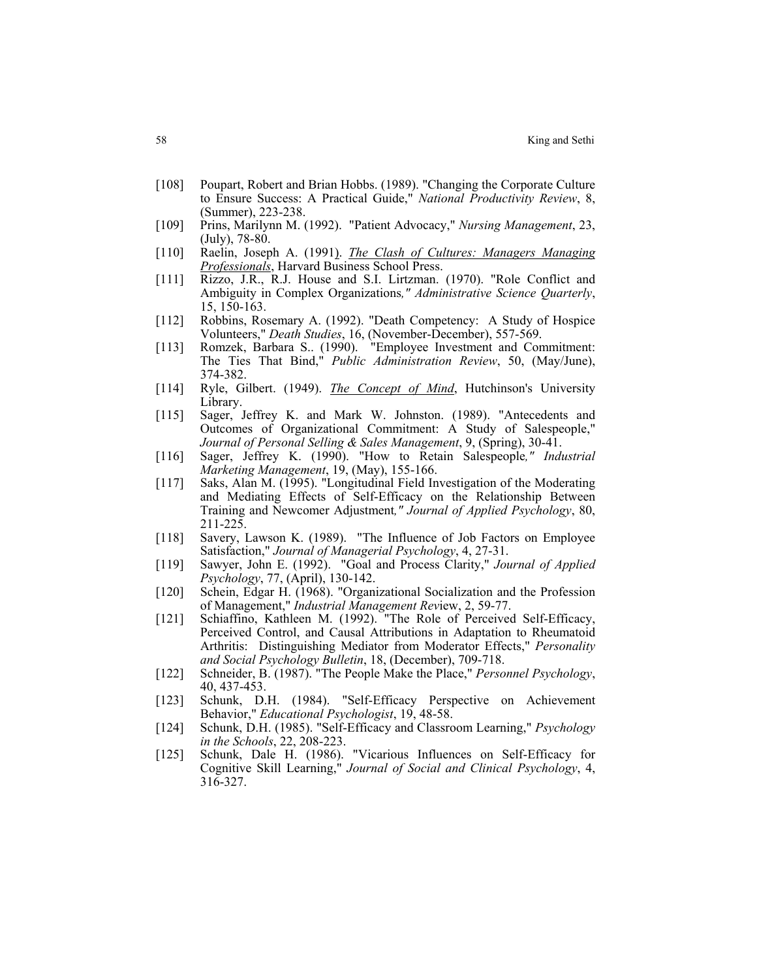- [108] Poupart, Robert and Brian Hobbs. (1989). "Changing the Corporate Culture to Ensure Success: A Practical Guide," *National Productivity Review*, 8, (Summer), 223-238.
- [109] Prins, Marilynn M. (1992). "Patient Advocacy," *Nursing Management*, 23, (July), 78-80.
- [110] Raelin, Joseph A. (1991). *The Clash of Cultures: Managers Managing Professionals*, Harvard Business School Press.
- [111] Rizzo, J.R., R.J. House and S.I. Lirtzman. (1970). "Role Conflict and Ambiguity in Complex Organizations*," Administrative Science Quarterly*, 15, 150-163.
- [112] Robbins, Rosemary A. (1992). "Death Competency: A Study of Hospice Volunteers," *Death Studies*, 16, (November-December), 557-569.
- [113] Romzek, Barbara S.. (1990). "Employee Investment and Commitment: The Ties That Bind," *Public Administration Review*, 50, (May/June), 374-382.
- [114] Ryle, Gilbert. (1949). *The Concept of Mind*, Hutchinson's University Library.
- [115] Sager, Jeffrey K. and Mark W. Johnston. (1989). "Antecedents and Outcomes of Organizational Commitment: A Study of Salespeople," *Journal of Personal Selling & Sales Management*, 9, (Spring), 30-41.
- [116] Sager, Jeffrey K. (1990). "How to Retain Salespeople*," Industrial Marketing Management*, 19, (May), 155-166.
- [117] Saks, Alan M. (1995). "Longitudinal Field Investigation of the Moderating and Mediating Effects of Self-Efficacy on the Relationship Between Training and Newcomer Adjustment*," Journal of Applied Psychology*, 80, 211-225.
- [118] Savery, Lawson K. (1989). "The Influence of Job Factors on Employee Satisfaction," *Journal of Managerial Psychology*, 4, 27-31.
- [119] Sawyer, John E. (1992). "Goal and Process Clarity," *Journal of Applied Psychology*, 77, (April), 130-142.
- [120] Schein, Edgar H. (1968). "Organizational Socialization and the Profession of Management," *Industrial Management Rev*iew, 2, 59-77.
- [121] Schiaffino, Kathleen M. (1992). "The Role of Perceived Self-Efficacy, Perceived Control, and Causal Attributions in Adaptation to Rheumatoid Arthritis: Distinguishing Mediator from Moderator Effects," *Personality and Social Psychology Bulletin*, 18, (December), 709-718.
- [122] Schneider, B. (1987). "The People Make the Place," *Personnel Psychology*, 40, 437-453.
- [123] Schunk, D.H. (1984). "Self-Efficacy Perspective on Achievement Behavior," *Educational Psychologist*, 19, 48-58.
- [124] Schunk, D.H. (1985). "Self-Efficacy and Classroom Learning," *Psychology in the Schools*, 22, 208-223.
- [125] Schunk, Dale H. (1986). "Vicarious Influences on Self-Efficacy for Cognitive Skill Learning," *Journal of Social and Clinical Psychology*, 4, 316-327.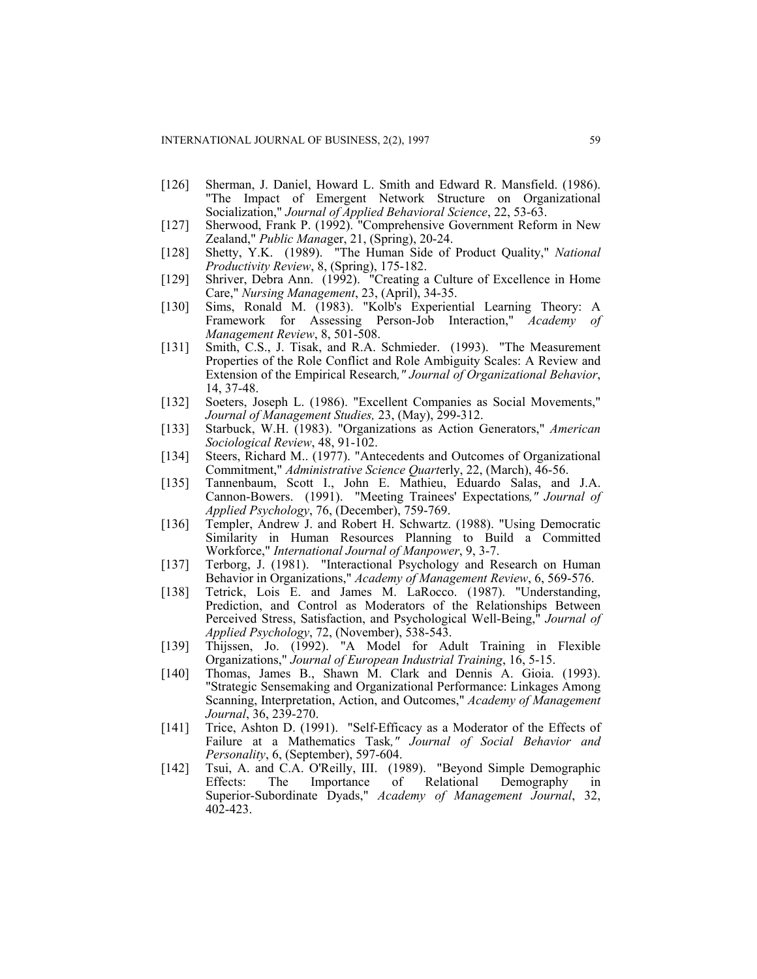- [126] Sherman, J. Daniel, Howard L. Smith and Edward R. Mansfield. (1986). "The Impact of Emergent Network Structure on Organizational Socialization," *Journal of Applied Behavioral Science*, 22, 53-63.
- [127] Sherwood, Frank P. (1992). "Comprehensive Government Reform in New Zealand," *Public Mana*ger, 21, (Spring), 20-24.
- [128] Shetty, Y.K. (1989). "The Human Side of Product Quality," *National Productivity Review*, 8, (Spring), 175-182.
- [129] Shriver, Debra Ann. (1992). "Creating a Culture of Excellence in Home Care," *Nursing Management*, 23, (April), 34-35.
- [130] Sims, Ronald M. (1983). "Kolb's Experiential Learning Theory: A Framework for Assessing Person-Job Interaction," *Academy of Management Review*, 8, 501-508.
- [131] Smith, C.S., J. Tisak, and R.A. Schmieder. (1993). "The Measurement Properties of the Role Conflict and Role Ambiguity Scales: A Review and Extension of the Empirical Research*," Journal of Organizational Behavior*, 14, 37-48.
- [132] Soeters, Joseph L. (1986). "Excellent Companies as Social Movements," *Journal of Management Studies,* 23, (May), 299-312.
- [133] Starbuck, W.H. (1983). "Organizations as Action Generators," *American Sociological Review*, 48, 91-102.
- [134] Steers, Richard M.. (1977). "Antecedents and Outcomes of Organizational Commitment," *Administrative Science Quart*erly, 22, (March), 46-56.
- [135] Tannenbaum, Scott I., John E. Mathieu, Eduardo Salas, and J.A. Cannon-Bowers. (1991). "Meeting Trainees' Expectations*," Journal of Applied Psychology*, 76, (December), 759-769.
- [136] Templer, Andrew J. and Robert H. Schwartz. (1988). "Using Democratic Similarity in Human Resources Planning to Build a Committed Workforce," *International Journal of Manpower*, 9, 3-7.
- [137] Terborg, J. (1981). "Interactional Psychology and Research on Human Behavior in Organizations," *Academy of Management Review*, 6, 569-576.
- [138] Tetrick, Lois E. and James M. LaRocco. (1987). "Understanding, Prediction, and Control as Moderators of the Relationships Between Perceived Stress, Satisfaction, and Psychological Well-Being," *Journal of Applied Psychology*, 72, (November), 538-543.
- [139] Thijssen, Jo. (1992). "A Model for Adult Training in Flexible Organizations," *Journal of European Industrial Training*, 16, 5-15.
- [140] Thomas, James B., Shawn M. Clark and Dennis A. Gioia. (1993). "Strategic Sensemaking and Organizational Performance: Linkages Among Scanning, Interpretation, Action, and Outcomes," *Academy of Management Journal*, 36, 239-270.
- [141] Trice, Ashton D. (1991). "Self-Efficacy as a Moderator of the Effects of Failure at a Mathematics Task*," Journal of Social Behavior and Personality*, 6, (September), 597-604.
- [142] Tsui, A. and C.A. O'Reilly, III. (1989). "Beyond Simple Demographic Effects: The Importance of Relational Demography in Superior-Subordinate Dyads," *Academy of Management Journal*, 32, 402-423.